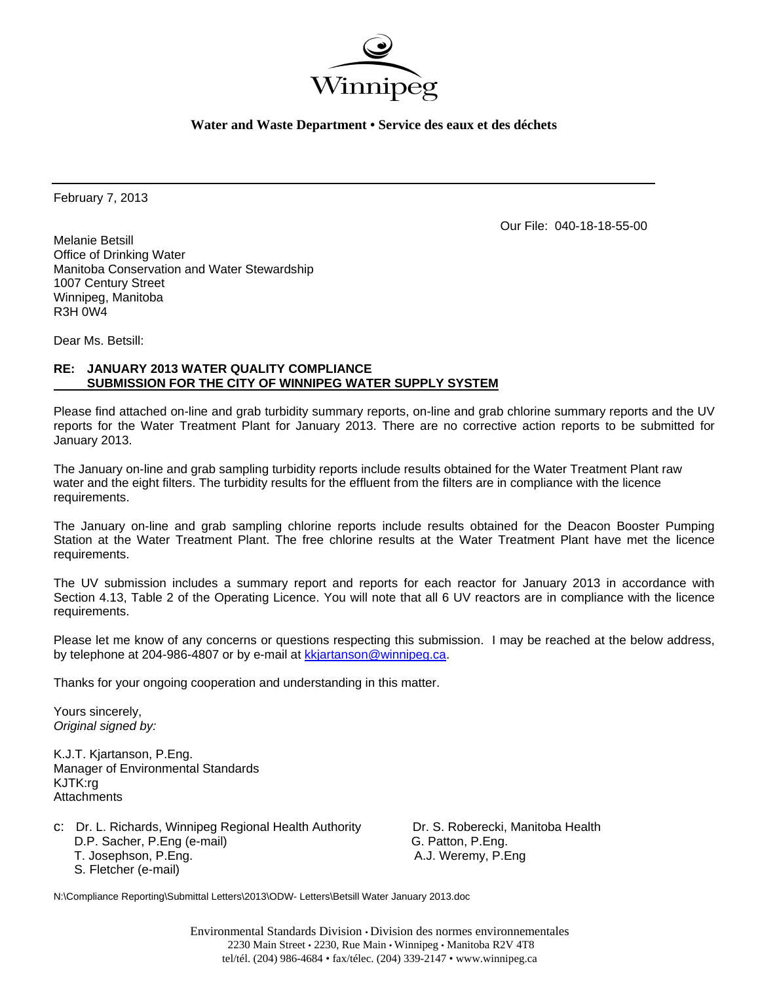

**Water and Waste Department • Service des eaux et des déchets** 

February 7, 2013

Our File: 040-18-18-55-00

Melanie Betsill Office of Drinking Water Manitoba Conservation and Water Stewardship 1007 Century Street Winnipeg, Manitoba R3H 0W4

Dear Ms. Betsill:

# **RE: JANUARY 2013 WATER QUALITY COMPLIANCE SUBMISSION FOR THE CITY OF WINNIPEG WATER SUPPLY SYSTEM**

Please find attached on-line and grab turbidity summary reports, on-line and grab chlorine summary reports and the UV reports for the Water Treatment Plant for January 2013. There are no corrective action reports to be submitted for January 2013.

The January on-line and grab sampling turbidity reports include results obtained for the Water Treatment Plant raw water and the eight filters. The turbidity results for the effluent from the filters are in compliance with the licence requirements.

The January on-line and grab sampling chlorine reports include results obtained for the Deacon Booster Pumping Station at the Water Treatment Plant. The free chlorine results at the Water Treatment Plant have met the licence requirements.

The UV submission includes a summary report and reports for each reactor for January 2013 in accordance with Section 4.13, Table 2 of the Operating Licence. You will note that all 6 UV reactors are in compliance with the licence requirements.

Please let me know of any concerns or questions respecting this submission. I may be reached at the below address, by telephone at 204-986-4807 or by e-mail at kkjartanson@winnipeg.ca.

Thanks for your ongoing cooperation and understanding in this matter.

Yours sincerely, *Original signed by:* 

K.J.T. Kjartanson, P.Eng. Manager of Environmental Standards KJTK:rg **Attachments** 

c: Dr. L. Richards, Winnipeg Regional Health Authority Dr. S. Roberecki, Manitoba Health D.P. Sacher, P.Eng (e-mail) G. Patton, P.Eng. T. Josephson, P.Eng. **A.J. Weremy, P.Eng.** A.J. Weremy, P.Eng. S. Fletcher (e-mail)

N:\Compliance Reporting\Submittal Letters\2013\ODW- Letters\Betsill Water January 2013.doc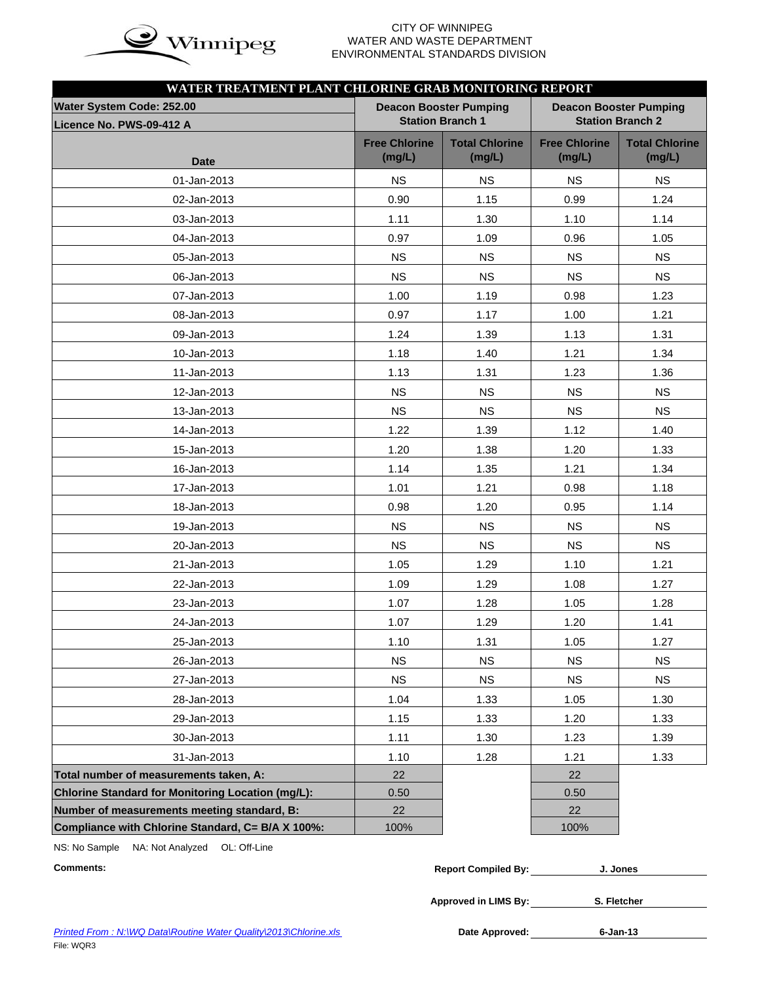

# WATER AND WASTE DEPARTMENT ENVIRONMENTAL STANDARDS DIVISION

| WATER TREATMENT PLANT CHLORINE GRAB MONITORING REPORT |                                |                                 |                                |                                 |
|-------------------------------------------------------|--------------------------------|---------------------------------|--------------------------------|---------------------------------|
| Water System Code: 252.00                             |                                | <b>Deacon Booster Pumping</b>   |                                | <b>Deacon Booster Pumping</b>   |
| Licence No. PWS-09-412 A                              |                                | <b>Station Branch 1</b>         |                                | <b>Station Branch 2</b>         |
|                                                       | <b>Free Chlorine</b><br>(mg/L) | <b>Total Chlorine</b><br>(mg/L) | <b>Free Chlorine</b><br>(mg/L) | <b>Total Chlorine</b><br>(mg/L) |
| <b>Date</b>                                           |                                |                                 |                                |                                 |
| 01-Jan-2013                                           | <b>NS</b>                      | <b>NS</b>                       | <b>NS</b>                      | <b>NS</b>                       |
| 02-Jan-2013                                           | 0.90                           | 1.15                            | 0.99                           | 1.24                            |
| 03-Jan-2013                                           | 1.11                           | 1.30                            | 1.10                           | 1.14                            |
| 04-Jan-2013                                           | 0.97                           | 1.09                            | 0.96                           | 1.05                            |
| 05-Jan-2013                                           | <b>NS</b>                      | <b>NS</b>                       | <b>NS</b>                      | <b>NS</b>                       |
| 06-Jan-2013                                           | <b>NS</b>                      | <b>NS</b>                       | <b>NS</b>                      | <b>NS</b>                       |
| 07-Jan-2013                                           | 1.00                           | 1.19                            | 0.98                           | 1.23                            |
| 08-Jan-2013                                           | 0.97                           | 1.17                            | 1.00                           | 1.21                            |
| 09-Jan-2013                                           | 1.24                           | 1.39                            | 1.13                           | 1.31                            |
| 10-Jan-2013                                           | 1.18                           | 1.40                            | 1.21                           | 1.34                            |
| 11-Jan-2013                                           | 1.13                           | 1.31                            | 1.23                           | 1.36                            |
| 12-Jan-2013                                           | <b>NS</b>                      | <b>NS</b>                       | <b>NS</b>                      | <b>NS</b>                       |
| 13-Jan-2013                                           | <b>NS</b>                      | <b>NS</b>                       | <b>NS</b>                      | <b>NS</b>                       |
| 14-Jan-2013                                           | 1.22                           | 1.39                            | 1.12                           | 1.40                            |
| 15-Jan-2013                                           | 1.20                           | 1.38                            | 1.20                           | 1.33                            |
| 16-Jan-2013                                           | 1.14                           | 1.35                            | 1.21                           | 1.34                            |
| 17-Jan-2013                                           | 1.01                           | 1.21                            | 0.98                           | 1.18                            |
| 18-Jan-2013                                           | 0.98                           | 1.20                            | 0.95                           | 1.14                            |
| 19-Jan-2013                                           | <b>NS</b>                      | <b>NS</b>                       | <b>NS</b>                      | <b>NS</b>                       |
| 20-Jan-2013                                           | <b>NS</b>                      | <b>NS</b>                       | <b>NS</b>                      | <b>NS</b>                       |
| 21-Jan-2013                                           | 1.05                           | 1.29                            | 1.10                           | 1.21                            |
| 22-Jan-2013                                           | 1.09                           | 1.29                            | 1.08                           | 1.27                            |
| 23-Jan-2013                                           | 1.07                           | 1.28                            | 1.05                           | 1.28                            |
| 24-Jan-2013                                           | 1.07                           | 1.29                            | 1.20                           | 1.41                            |
| 25-Jan-2013                                           | 1.10                           | 1.31                            | 1.05                           | 1.27                            |
| 26-Jan-2013                                           | <b>NS</b>                      | <b>NS</b>                       | <b>NS</b>                      | <b>NS</b>                       |
| 27-Jan-2013                                           | <b>NS</b>                      | <b>NS</b>                       | <b>NS</b>                      | <b>NS</b>                       |
| 28-Jan-2013                                           | 1.04                           | 1.33                            | 1.05                           | 1.30                            |
| 29-Jan-2013                                           | 1.15                           | 1.33                            | 1.20                           | 1.33                            |
|                                                       |                                |                                 |                                |                                 |
| 30-Jan-2013                                           | 1.11                           | 1.30                            | 1.23                           | 1.39                            |
| 31-Jan-2013<br>Total number of measurements taken, A: | 1.10<br>22                     | 1.28                            | 1.21<br>22                     | 1.33                            |
| Chlorine Standard for Monitoring Location (mg/L):     | 0.50                           |                                 | 0.50                           |                                 |
| Number of measurements meeting standard, B:           | 22                             |                                 | 22                             |                                 |
| Compliance with Chlorine Standard, C= B/A X 100%:     | 100%                           |                                 | 100%                           |                                 |

NS: No Sample NA: Not Analyzed OL: Off-Line

 $Comments:$ 

| <b>Report Compiled By:</b> | J. Jones |
|----------------------------|----------|
|                            |          |

**Approved in LIMS By: S. Fletcher**

Date Approved: 6-Jan-13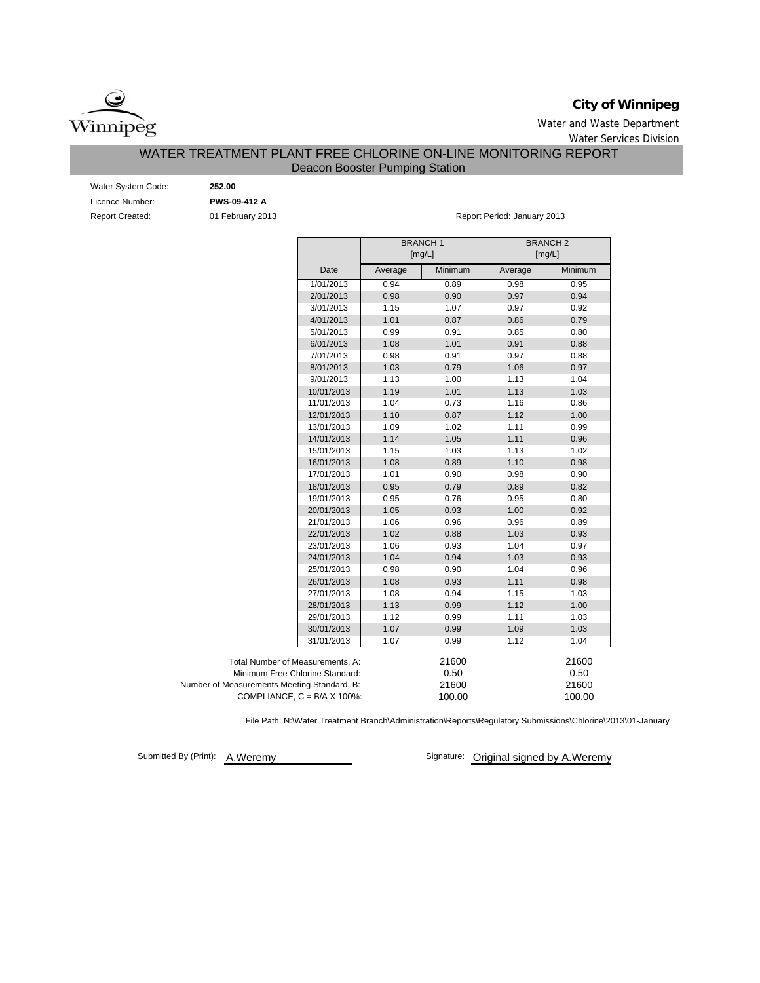

# **City of Winnipeg**

Water and Waste Department Water Services Division

# WATER TREATMENT PLANT FREE CHLORINE ON-LINE MONITORING REPORT

# Deacon Booster Pumping Station

| Water System Code:     |
|------------------------|
| Licence Number:        |
| <b>Report Created:</b> |

01 February 2013 Water System Code: **252.00** Licence Number: **PWS-09-412 A**

Report Period: January 2013

|                                             |                                      |         | <b>BRANCH1</b><br>[mg/L] | <b>BRANCH2</b><br>[mg/L] |         |
|---------------------------------------------|--------------------------------------|---------|--------------------------|--------------------------|---------|
|                                             | Date                                 | Average | Minimum                  | Average                  | Minimum |
|                                             | 1/01/2013                            | 0.94    | 0.89                     | 0.98                     | 0.95    |
|                                             | 2/01/2013                            | 0.98    | 0.90                     | 0.97                     | 0.94    |
|                                             | 3/01/2013                            | 1.15    | 1.07                     | 0.97                     | 0.92    |
|                                             | 4/01/2013                            | 1.01    | 0.87                     | 0.86                     | 0.79    |
|                                             | 5/01/2013                            | 0.99    | 0.91                     | 0.85                     | 0.80    |
|                                             | 6/01/2013                            | 1.08    | 1.01                     | 0.91                     | 0.88    |
|                                             | 7/01/2013                            | 0.98    | 0.91                     | 0.97                     | 0.88    |
|                                             | 8/01/2013                            | 1.03    | 0.79                     | 1.06                     | 0.97    |
|                                             | 9/01/2013                            | 1.13    | 1.00                     | 1.13                     | 1.04    |
|                                             | 10/01/2013                           | 1.19    | 1.01                     | 1.13                     | 1.03    |
|                                             | 11/01/2013                           | 1.04    | 0.73                     | 1.16                     | 0.86    |
|                                             | 12/01/2013                           | 1.10    | 0.87                     | 1.12                     | 1.00    |
|                                             | 13/01/2013                           | 1.09    | 1.02                     | 1.11                     | 0.99    |
|                                             | 14/01/2013                           | 1.14    | 1.05                     | 1.11                     | 0.96    |
|                                             | 15/01/2013                           | 1.15    | 1.03                     | 1.13                     | 1.02    |
|                                             | 16/01/2013                           | 1.08    | 0.89                     | 1.10                     | 0.98    |
|                                             | 17/01/2013                           | 1.01    | 0.90                     | 0.98                     | 0.90    |
|                                             | 18/01/2013                           | 0.95    | 0.79                     | 0.89                     | 0.82    |
|                                             | 19/01/2013                           | 0.95    | 0.76                     | 0.95                     | 0.80    |
|                                             | 20/01/2013                           | 1.05    | 0.93                     | 1.00                     | 0.92    |
|                                             | 21/01/2013                           | 1.06    | 0.96                     | 0.96                     | 0.89    |
|                                             | 22/01/2013                           | 1.02    | 0.88                     | 1.03                     | 0.93    |
|                                             | 23/01/2013                           | 1.06    | 0.93                     | 1.04                     | 0.97    |
|                                             | 24/01/2013                           | 1.04    | 0.94                     | 1.03                     | 0.93    |
|                                             | 25/01/2013                           | 0.98    | 0.90                     | 1.04                     | 0.96    |
|                                             | 26/01/2013                           | 1.08    | 0.93                     | 1.11                     | 0.98    |
|                                             | 27/01/2013                           | 1.08    | 0.94                     | 1.15                     | 1.03    |
|                                             | 28/01/2013                           | 1.13    | 0.99                     | 1.12                     | 1.00    |
|                                             | 29/01/2013                           | 1.12    | 0.99                     | 1.11                     | 1.03    |
|                                             | 30/01/2013                           | 1.07    | 0.99                     | 1.09                     | 1.03    |
|                                             | 31/01/2013                           | 1.07    | 0.99                     | 1.12                     | 1.04    |
| Total Number of Measurements, A:            |                                      |         | 21600                    |                          | 21600   |
| Minimum Free Chlorine Standard:             |                                      |         | 0.50                     |                          | 0.50    |
| Number of Measurements Meeting Standard, B: |                                      |         | 21600                    |                          | 21600   |
|                                             | COMPLIANCE, $C = B/A \times 100\%$ : |         | 100.00                   |                          | 100.00  |

File Path: N:\Water Treatment Branch\Administration\Reports\Regulatory Submissions\Chlorine\2013\01-January

Submitted By (Print): A.Weremy

Signature: Original signed by A.Weremy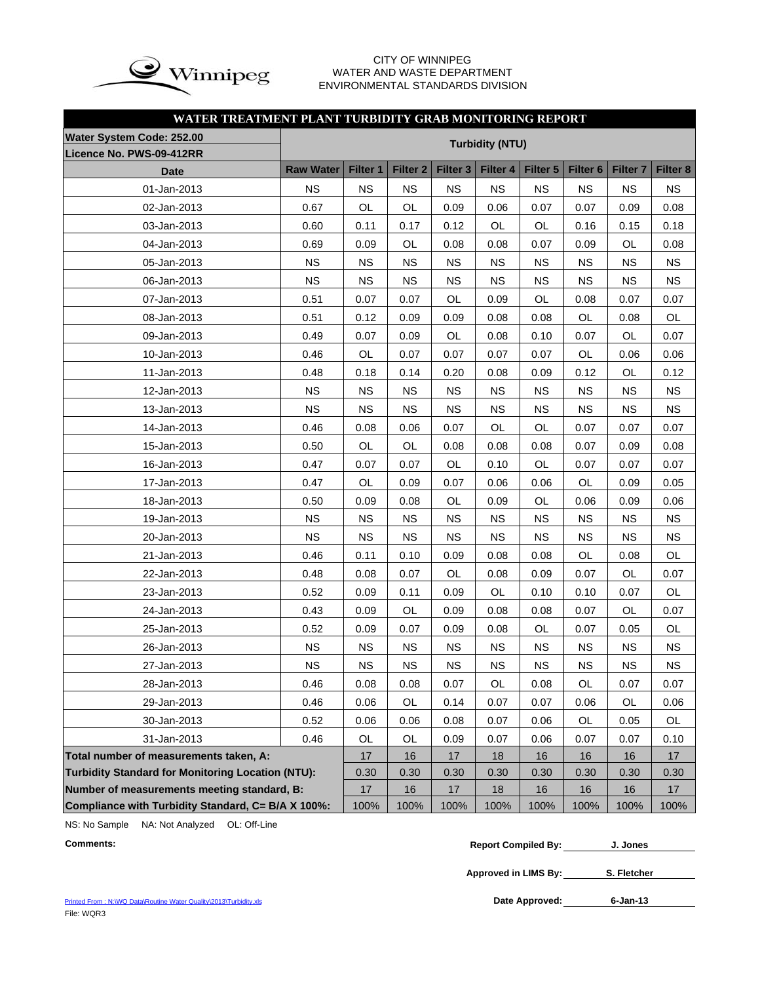

## CITY OF WINNIPEG WATER AND WASTE DEPARTMENT ENVIRONMENTAL STANDARDS DIVISION

# **WATER TREATMENT PLANT TURBIDITY GRAB MONITORING REPORT**

| Water System Code: 252.00                                |                  |           |                 |                     | <b>Turbidity (NTU)</b> |           |                 |                     |           |
|----------------------------------------------------------|------------------|-----------|-----------------|---------------------|------------------------|-----------|-----------------|---------------------|-----------|
| Licence No. PWS-09-412RR                                 |                  |           |                 |                     |                        |           |                 |                     |           |
| <b>Date</b>                                              | <b>Raw Water</b> | Filter 1  | <b>Filter 2</b> | Filter <sub>3</sub> | Filter 4               | Filter 5  | <b>Filter 6</b> | Filter <sub>7</sub> | Filter 8  |
| 01-Jan-2013                                              | <b>NS</b>        | <b>NS</b> | <b>NS</b>       | <b>NS</b>           | <b>NS</b>              | <b>NS</b> | <b>NS</b>       | <b>NS</b>           | <b>NS</b> |
| 02-Jan-2013                                              | 0.67             | OL        | <b>OL</b>       | 0.09                | 0.06                   | 0.07      | 0.07            | 0.09                | 0.08      |
| 03-Jan-2013                                              | 0.60             | 0.11      | 0.17            | 0.12                | OL                     | OL        | 0.16            | 0.15                | 0.18      |
| 04-Jan-2013                                              | 0.69             | 0.09      | OL              | 0.08                | 0.08                   | 0.07      | 0.09            | OL                  | 0.08      |
| 05-Jan-2013                                              | <b>NS</b>        | <b>NS</b> | <b>NS</b>       | <b>NS</b>           | <b>NS</b>              | <b>NS</b> | <b>NS</b>       | <b>NS</b>           | <b>NS</b> |
| 06-Jan-2013                                              | <b>NS</b>        | <b>NS</b> | <b>NS</b>       | <b>NS</b>           | <b>NS</b>              | <b>NS</b> | <b>NS</b>       | <b>NS</b>           | <b>NS</b> |
| 07-Jan-2013                                              | 0.51             | 0.07      | 0.07            | OL                  | 0.09                   | OL        | 0.08            | 0.07                | 0.07      |
| 08-Jan-2013                                              | 0.51             | 0.12      | 0.09            | 0.09                | 0.08                   | 0.08      | <b>OL</b>       | 0.08                | <b>OL</b> |
| 09-Jan-2013                                              | 0.49             | 0.07      | 0.09            | OL                  | 0.08                   | 0.10      | 0.07            | OL                  | 0.07      |
| 10-Jan-2013                                              | 0.46             | OL        | 0.07            | 0.07                | 0.07                   | 0.07      | OL              | 0.06                | 0.06      |
| 11-Jan-2013                                              | 0.48             | 0.18      | 0.14            | 0.20                | 0.08                   | 0.09      | 0.12            | OL                  | 0.12      |
| 12-Jan-2013                                              | <b>NS</b>        | <b>NS</b> | <b>NS</b>       | <b>NS</b>           | <b>NS</b>              | <b>NS</b> | <b>NS</b>       | <b>NS</b>           | <b>NS</b> |
| 13-Jan-2013                                              | <b>NS</b>        | <b>NS</b> | <b>NS</b>       | <b>NS</b>           | <b>NS</b>              | <b>NS</b> | <b>NS</b>       | <b>NS</b>           | <b>NS</b> |
| 14-Jan-2013                                              | 0.46             | 0.08      | 0.06            | 0.07                | OL                     | OL        | 0.07            | 0.07                | 0.07      |
| 15-Jan-2013                                              | 0.50             | OL        | OL              | 0.08                | 0.08                   | 0.08      | 0.07            | 0.09                | 0.08      |
| 16-Jan-2013                                              | 0.47             | 0.07      | 0.07            | OL                  | 0.10                   | OL        | 0.07            | 0.07                | 0.07      |
| 17-Jan-2013                                              | 0.47             | OL        | 0.09            | 0.07                | 0.06                   | 0.06      | <b>OL</b>       | 0.09                | 0.05      |
| 18-Jan-2013                                              | 0.50             | 0.09      | 0.08            | OL                  | 0.09                   | OL        | 0.06            | 0.09                | 0.06      |
| 19-Jan-2013                                              | <b>NS</b>        | <b>NS</b> | <b>NS</b>       | <b>NS</b>           | <b>NS</b>              | <b>NS</b> | <b>NS</b>       | <b>NS</b>           | <b>NS</b> |
| 20-Jan-2013                                              | <b>NS</b>        | <b>NS</b> | <b>NS</b>       | <b>NS</b>           | <b>NS</b>              | <b>NS</b> | <b>NS</b>       | <b>NS</b>           | <b>NS</b> |
| 21-Jan-2013                                              | 0.46             | 0.11      | 0.10            | 0.09                | 0.08                   | 0.08      | <b>OL</b>       | 0.08                | OL        |
| 22-Jan-2013                                              | 0.48             | 0.08      | 0.07            | OL                  | 0.08                   | 0.09      | 0.07            | OL                  | 0.07      |
| 23-Jan-2013                                              | 0.52             | 0.09      | 0.11            | 0.09                | OL                     | 0.10      | 0.10            | 0.07                | OL        |
| 24-Jan-2013                                              | 0.43             | 0.09      | OL              | 0.09                | 0.08                   | 0.08      | 0.07            | OL                  | 0.07      |
| 25-Jan-2013                                              | 0.52             | 0.09      | 0.07            | 0.09                | 0.08                   | OL        | 0.07            | 0.05                | OL        |
| 26-Jan-2013                                              | <b>NS</b>        | <b>NS</b> | <b>NS</b>       | <b>NS</b>           | <b>NS</b>              | <b>NS</b> | <b>NS</b>       | <b>NS</b>           | <b>NS</b> |
| 27-Jan-2013                                              | <b>NS</b>        | <b>NS</b> | <b>NS</b>       | <b>NS</b>           | <b>NS</b>              | <b>NS</b> | <b>NS</b>       | <b>NS</b>           | <b>NS</b> |
| 28-Jan-2013                                              | 0.46             | 0.08      | 0.08            | 0.07                | OL                     | 0.08      | OL              | 0.07                | 0.07      |
| 29-Jan-2013                                              | 0.46             | 0.06      | OL              | 0.14                | 0.07                   | 0.07      | 0.06            | OL                  | 0.06      |
| 30-Jan-2013                                              | 0.52             | 0.06      | 0.06            | 0.08                | 0.07                   | 0.06      | OL              | 0.05                | OL        |
| 31-Jan-2013                                              | 0.46             | OL        | OL              | 0.09                | 0.07                   | 0.06      | 0.07            | 0.07                | 0.10      |
| Total number of measurements taken, A:                   |                  | 17        | 16              | 17                  | 18                     | 16        | 16              | 16                  | 17        |
| <b>Turbidity Standard for Monitoring Location (NTU):</b> |                  | 0.30      | 0.30            | 0.30                | 0.30                   | 0.30      | 0.30            | 0.30                | 0.30      |
| Number of measurements meeting standard, B:              |                  | $17$      | 16              | 17                  | 18                     | 16        | 16              | 16                  | 17        |
| Compliance with Turbidity Standard, C= B/A X 100%:       |                  | 100%      | 100%            | 100%                | 100%                   | 100%      | 100%            | 100%                | 100%      |

NS: No Sample NA: Not Analyzed OL: Off-Line

```
Comments: Report Compiled By:
J. Jones
```
**Approved in LIMS By: S. Fletcher**

Date Approved: 6-Jan-13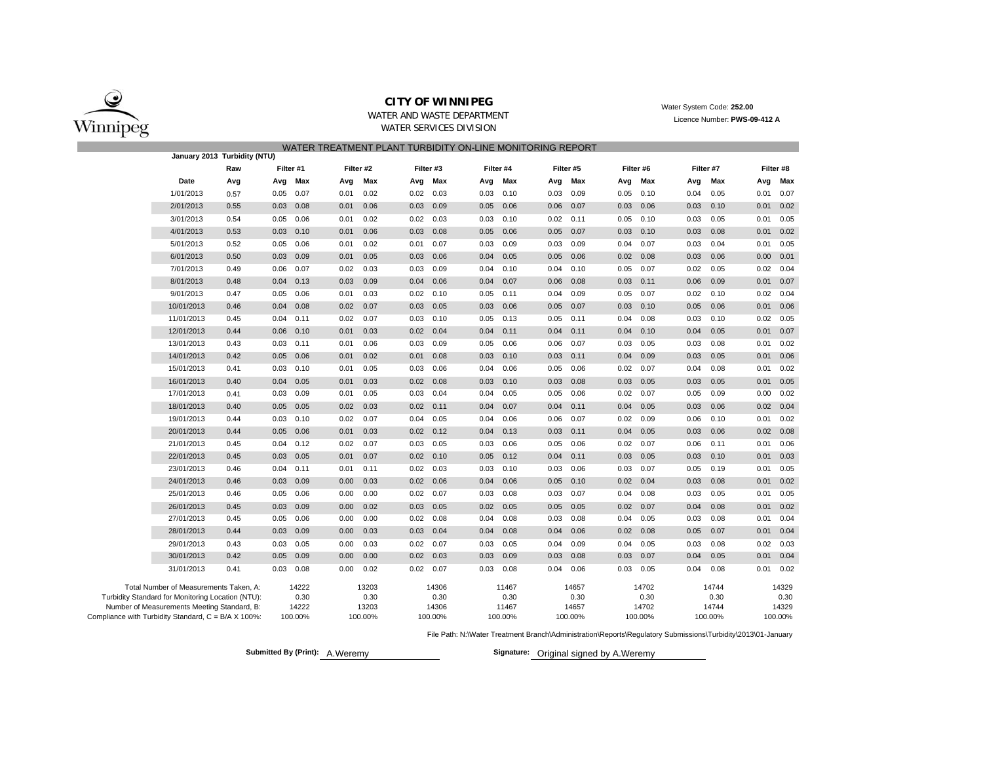

WATER AND WASTE DEPARTMENTWATER SERVICES DIVISION

Water System Code: **252.00** Licence Number: **PWS-09-412 A**

|                                                     |                                                   |                              |               |         |      |           |      |             | WATER TREATMENT PLANT TURBIDITY ON-LINE MONITORING REPORT |           |      |           |      |           |      |           |      |             |
|-----------------------------------------------------|---------------------------------------------------|------------------------------|---------------|---------|------|-----------|------|-------------|-----------------------------------------------------------|-----------|------|-----------|------|-----------|------|-----------|------|-------------|
|                                                     |                                                   | January 2013 Turbidity (NTU) |               |         |      |           |      |             |                                                           |           |      |           |      |           |      |           |      |             |
|                                                     |                                                   | Raw                          | Filter #1     |         |      | Filter #2 |      | Filter #3   |                                                           | Filter #4 |      | Filter #5 |      | Filter #6 |      | Filter #7 |      | Filter #8   |
|                                                     | Date                                              | Avg                          | Avg           | Max     | Avg  | Max       | Avg  | Max         | Avg                                                       | Max       | Avg  | Max       | Avg  | Max       | Avg  | Max       | Avg  | Max         |
|                                                     | 1/01/2013                                         | 0.57                         | 0.05          | 0.07    | 0.01 | 0.02      | 0.02 | 0.03        | 0.03                                                      | 0.10      | 0.03 | 0.09      | 0.05 | 0.10      | 0.04 | 0.05      | 0.01 | 0.07        |
|                                                     | 2/01/2013                                         | 0.55                         | 0.03          | 0.08    | 0.01 | 0.06      | 0.03 | 0.09        | 0.05                                                      | 0.06      | 0.06 | 0.07      | 0.03 | 0.06      | 0.03 | 0.10      | 0.01 | 0.02        |
|                                                     | 3/01/2013                                         | 0.54                         | 0.05          | 0.06    | 0.01 | 0.02      | 0.02 | 0.03        | 0.03                                                      | 0.10      | 0.02 | 0.11      | 0.05 | 0.10      | 0.03 | 0.05      | 0.01 | 0.05        |
|                                                     | 4/01/2013                                         | 0.53                         | 0.03          | 0.10    | 0.01 | 0.06      | 0.03 | 0.08        | 0.05                                                      | 0.06      | 0.05 | 0.07      | 0.03 | 0.10      | 0.03 | 0.08      | 0.01 | 0.02        |
|                                                     | 5/01/2013                                         | 0.52                         | 0.05          | 0.06    | 0.01 | 0.02      | 0.01 | 0.07        | 0.03                                                      | 0.09      | 0.03 | 0.09      | 0.04 | 0.07      | 0.03 | 0.04      | 0.01 | 0.05        |
|                                                     | 6/01/2013                                         | 0.50                         | 0.03          | 0.09    | 0.01 | 0.05      | 0.03 | 0.06        | 0.04                                                      | 0.05      | 0.05 | 0.06      | 0.02 | 0.08      | 0.03 | 0.06      | 0.00 | 0.01        |
|                                                     | 7/01/2013                                         | 0.49                         | 0.06          | 0.07    | 0.02 | 0.03      | 0.03 | 0.09        | 0.04                                                      | 0.10      | 0.04 | 0.10      | 0.05 | 0.07      | 0.02 | 0.05      | 0.02 | 0.04        |
|                                                     | 8/01/2013                                         | 0.48                         | 0.04          | 0.13    | 0.03 | 0.09      | 0.04 | 0.06        | 0.04                                                      | 0.07      | 0.06 | 0.08      | 0.03 | 0.11      | 0.06 | 0.09      | 0.01 | 0.07        |
|                                                     | 9/01/2013                                         | 0.47                         | 0.05          | 0.06    | 0.01 | 0.03      | 0.02 | 0.10        | 0.05                                                      | 0.11      | 0.04 | 0.09      | 0.05 | 0.07      | 0.02 | 0.10      | 0.02 | 0.04        |
|                                                     | 10/01/2013                                        | 0.46                         | 0.04          | 0.08    | 0.02 | 0.07      | 0.03 | 0.05        | 0.03                                                      | 0.06      | 0.05 | 0.07      | 0.03 | 0.10      | 0.05 | 0.06      | 0.01 | 0.06        |
|                                                     | 11/01/2013                                        | 0.45                         | $0.04$ 0.11   |         | 0.02 | 0.07      | 0.03 | 0.10        | 0.05                                                      | 0.13      | 0.05 | 0.11      | 0.04 | 0.08      | 0.03 | 0.10      | 0.02 | 0.05        |
|                                                     | 12/01/2013                                        | 0.44                         | $0.06$ $0.10$ |         | 0.01 | 0.03      |      | $0.02$ 0.04 | 0.04                                                      | 0.11      | 0.04 | 0.11      | 0.04 | 0.10      | 0.04 | 0.05      | 0.01 | 0.07        |
|                                                     | 13/01/2013                                        | 0.43                         | $0.03$ $0.11$ |         | 0.01 | 0.06      | 0.03 | 0.09        | 0.05                                                      | 0.06      | 0.06 | 0.07      | 0.03 | 0.05      | 0.03 | 0.08      | 0.01 | 0.02        |
|                                                     | 14/01/2013                                        | 0.42                         | 0.05          | 0.06    | 0.01 | 0.02      | 0.01 | 0.08        | 0.03                                                      | 0.10      | 0.03 | 0.11      | 0.04 | 0.09      | 0.03 | 0.05      | 0.01 | 0.06        |
|                                                     | 15/01/2013                                        | 0.41                         | 0.03          | 0.10    | 0.01 | 0.05      | 0.03 | 0.06        | 0.04                                                      | 0.06      | 0.05 | 0.06      | 0.02 | 0.07      | 0.04 | 0.08      | 0.01 | 0.02        |
|                                                     | 16/01/2013                                        | 0.40                         | 0.04          | 0.05    | 0.01 | 0.03      | 0.02 | 0.08        | 0.03                                                      | 0.10      | 0.03 | 0.08      | 0.03 | 0.05      | 0.03 | 0.05      | 0.01 | 0.05        |
|                                                     | 17/01/2013                                        | 0.41                         | 0.03          | 0.09    | 0.01 | 0.05      | 0.03 | 0.04        | 0.04                                                      | 0.05      | 0.05 | 0.06      | 0.02 | 0.07      | 0.05 | 0.09      | 0.00 | 0.02        |
|                                                     | 18/01/2013                                        | 0.40                         | 0.05          | 0.05    | 0.02 | 0.03      | 0.02 | 0.11        | 0.04                                                      | 0.07      | 0.04 | 0.11      | 0.04 | 0.05      | 0.03 | 0.06      | 0.02 | 0.04        |
|                                                     | 19/01/2013                                        | 0.44                         | $0.03$ 0.10   |         | 0.02 | 0.07      | 0.04 | 0.05        | 0.04                                                      | 0.06      | 0.06 | 0.07      | 0.02 | 0.09      | 0.06 | 0.10      | 0.01 | 0.02        |
|                                                     | 20/01/2013                                        | 0.44                         | 0.05          | 0.06    | 0.01 | 0.03      | 0.02 | 0.12        | 0.04                                                      | 0.13      | 0.03 | 0.11      | 0.04 | 0.05      | 0.03 | 0.06      | 0.02 | 0.08        |
|                                                     | 21/01/2013                                        | 0.45                         | $0.04$ 0.12   |         | 0.02 | 0.07      | 0.03 | 0.05        | 0.03                                                      | 0.06      | 0.05 | 0.06      | 0.02 | 0.07      | 0.06 | 0.11      | 0.01 | 0.06        |
|                                                     | 22/01/2013                                        | 0.45                         | 0.03          | 0.05    | 0.01 | 0.07      | 0.02 | 0.10        | 0.05                                                      | 0.12      | 0.04 | 0.11      | 0.03 | 0.05      | 0.03 | 0.10      | 0.01 | 0.03        |
|                                                     | 23/01/2013                                        | 0.46                         | $0.04$ 0.11   |         | 0.01 | 0.11      | 0.02 | 0.03        | 0.03                                                      | 0.10      | 0.03 | 0.06      | 0.03 | 0.07      | 0.05 | 0.19      | 0.01 | 0.05        |
|                                                     | 24/01/2013                                        | 0.46                         | 0.03          | 0.09    | 0.00 | 0.03      | 0.02 | 0.06        | 0.04                                                      | 0.06      | 0.05 | 0.10      | 0.02 | 0.04      | 0.03 | 0.08      |      | $0.01$ 0.02 |
|                                                     | 25/01/2013                                        | 0.46                         | 0.05          | 0.06    | 0.00 | 0.00      | 0.02 | 0.07        | 0.03                                                      | 0.08      | 0.03 | 0.07      | 0.04 | 0.08      | 0.03 | 0.05      | 0.01 | 0.05        |
|                                                     | 26/01/2013                                        | 0.45                         | 0.03          | 0.09    | 0.00 | 0.02      | 0.03 | 0.05        | 0.02                                                      | 0.05      | 0.05 | 0.05      | 0.02 | 0.07      | 0.04 | 0.08      | 0.01 | 0.02        |
|                                                     | 27/01/2013                                        | 0.45                         | 0.05          | 0.06    | 0.00 | 0.00      | 0.02 | 0.08        | 0.04                                                      | 0.08      | 0.03 | 0.08      | 0.04 | 0.05      | 0.03 | 0.08      | 0.01 | 0.04        |
|                                                     | 28/01/2013                                        | 0.44                         | 0.03          | 0.09    | 0.00 | 0.03      | 0.03 | 0.04        | 0.04                                                      | 0.08      | 0.04 | 0.06      | 0.02 | 0.08      | 0.05 | 0.07      | 0.01 | 0.04        |
|                                                     | 29/01/2013                                        | 0.43                         | 0.03          | 0.05    | 0.00 | 0.03      | 0.02 | 0.07        | 0.03                                                      | 0.05      | 0.04 | 0.09      | 0.04 | 0.05      | 0.03 | 0.08      | 0.02 | 0.03        |
|                                                     | 30/01/2013                                        | 0.42                         | 0.05          | 0.09    | 0.00 | 0.00      | 0.02 | 0.03        | 0.03                                                      | 0.09      | 0.03 | 0.08      | 0.03 | 0.07      | 0.04 | 0.05      | 0.01 | 0.04        |
|                                                     | 31/01/2013                                        | 0.41                         | 0.03          | 0.08    | 0.00 | 0.02      | 0.02 | 0.07        | 0.03                                                      | 0.08      | 0.04 | 0.06      | 0.03 | 0.05      | 0.04 | 0.08      | 0.01 | 0.02        |
|                                                     | Total Number of Measurements Taken, A:            |                              |               | 14222   |      | 13203     |      | 14306       |                                                           | 11467     |      | 14657     |      | 14702     |      | 14744     |      | 14329       |
|                                                     | Turbidity Standard for Monitoring Location (NTU): |                              |               | 0.30    |      | 0.30      |      | 0.30        |                                                           | 0.30      |      | 0.30      |      | 0.30      |      | 0.30      |      | 0.30        |
|                                                     | Number of Measurements Meeting Standard, B:       |                              |               | 14222   |      | 13203     |      | 14306       |                                                           | 11467     |      | 14657     |      | 14702     |      | 14744     |      | 14329       |
| Compliance with Turbidity Standard, C = B/A X 100%: |                                                   |                              |               | 100.00% |      | 100.00%   |      | 100.00%     |                                                           | 100.00%   |      | 100.00%   |      | 100.00%   |      | 100.00%   |      | 100.00%     |

File Path: N:\Water Treatment Branch\Administration\Reports\Regulatory Submissions\Turbidity\2013\01-January

**Submitted By (Print):** A.Weremy

Signature: Original signed by A.Weremy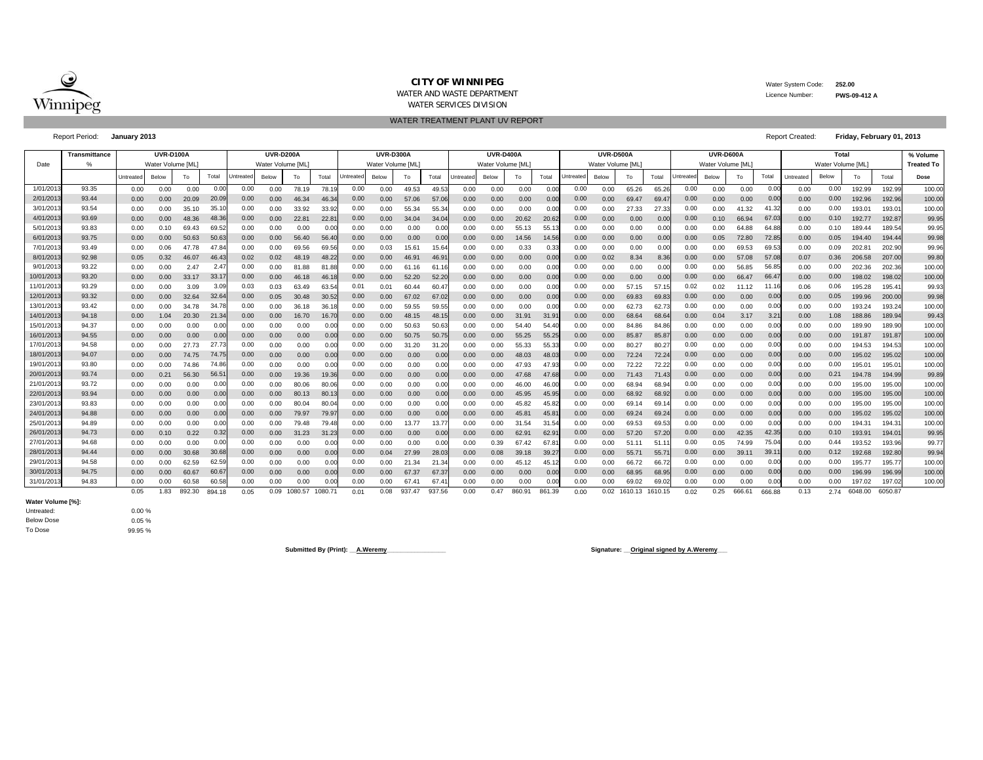

## **CITY OF WINNIPEG**WATER AND WASTE DEPARTMENT

Water System Code: **252.00**

 Licence Number:**PWS-09-412 A**

WATER SERVICES DIVISION

Report Period: **January 2013**

WATER TREATMENT PLANT UV REPORT

| <b>Report Created:</b> | Friday, February 01, 2013 |  |
|------------------------|---------------------------|--|
|                        |                           |  |

|           | Transmittance |           | <b>UVR-D100A</b>  |        |               |                 | <b>UVR-D200A</b>  |         |         |          | <b>UVR-D300A</b>  |                |        |                  | <b>UVR-D400A</b>  |        |        |           | <b>UVR-D500A</b>  |                      |       |                  | UVR-D600A         |        |               |           | Total             |         |         | % Volume          |
|-----------|---------------|-----------|-------------------|--------|---------------|-----------------|-------------------|---------|---------|----------|-------------------|----------------|--------|------------------|-------------------|--------|--------|-----------|-------------------|----------------------|-------|------------------|-------------------|--------|---------------|-----------|-------------------|---------|---------|-------------------|
| Date      | $\%$          |           | Water Volume [ML] |        |               |                 | Water Volume [ML] |         |         |          | Water Volume [ML] |                |        |                  | Water Volume [ML] |        |        |           | Water Volume [ML] |                      |       |                  | Water Volume [ML] |        |               |           | Water Volume [ML] |         |         | <b>Treated To</b> |
|           |               | Untreater | Below             | To     | Total         | <b>Jntreate</b> | Below             | To      | Total   | Untreate | Below             | To             | Total  | <b>Untreated</b> | Below             | To     | Total  | Untreated | Below             | To                   | Total | <b>Jntreated</b> | Below             | To     | Total         | Untreated | Below             | To      | Total   | Dose              |
| 1/01/201  | 93.35         | 0.00      | 0.00              | 0.00   | 0.00          | 0.00            | 0.00              | 78.19   | 78.1    | 0.00     | 0.00              | 49.53          | 49.53  | 0.00             | 0.00              | 0.00   | 0.00   | 0.00      | 0.00              | 65.26                | 65.26 | 0.00             | 0.00              | 0.00   | 0.00          | 0.00      | 0.00              | 192.99  | 192.99  | 100.00            |
| 2/01/201  | 93.44         | 0.00      | 0.00              | 20.09  | 20.0          | 0.00            | 0.00              | 46.34   | 46.3    | 0.00     | 0.00              | 57.06          | 57.0   | 0.00             | 0.00              | 0.00   | 0.00   | 0.00      | 0.00              | 69.47                | 69.4  | 0.00             | 0.00              | 0.00   | 0.00          | 0.00      | 0.00              | 192.96  | 192.96  | 100.00            |
| 3/01/201  | 93.54         | 0.00      | 0.00              | 35.10  | 35.1          | 0.00            | 0.00              | 33.92   | 33.9    | 0.00     | 0.00              | 55.34          | 55.3   | 0.00             | 0.00              | 0.00   |        | 0.00      | 0.00              | 27.33                | 27.3  | 0.00             | 0.00              | 41.32  |               | 0.00      | 0.00              | 193.01  | 193.0   | 100.00            |
| 4/01/201  | 93.69         | 0.00      | 0.00              | 48.36  | 48.3          | 0.00            | 0.00              | 22.81   | 22.8    | 0.00     | 0.00              | 34.04          | 34.0   | 0.00             | 0.00              | 20.62  | 20.62  | 0.00      | 0.00              | 0.00                 | 0.00  | 0.00             | 0.10              | 66.94  | 67.03         | 0.00      | 0.10              | 192.77  | 192.87  | 99.95             |
| 5/01/201  | 93.83         | 0.00      | 0.10              | 69.43  | 69.5          | 0.00            | 0.00              | 0.00    | 0.00    | 0.00     | 0.00              | 0.00           | 0.00   | 0.00             | 0.00              | 55.13  | 55.1   | 0.00      | 0.00              | 0.00                 |       | 0.00             | 0.00              | 64.88  | 64.88         | 0.00      | 0.10              | 189.44  | 189.54  | 99.95             |
| 6/01/201  | 93.75         | 0.00      | 0.00              | 50.63  | 50.6          | 0.00            | 0.00              | 56.40   | 56.40   | 0.00     | 0.00              | 0.00           | 0.00   | 0.00             | 0.00              | 14.56  | 14.56  | 0.00      | 0.00              | 0.00                 | 0.00  | 0.00             | 0.05              | 72.80  | 72.85         | 0.00      | 0.05              | 194.40  | 194.44  | 99.98             |
| 7/01/201  | 93.49         | 0.00      | 0.06              |        | 47.8          | 0.00            | 0.00              | 69.56   | 69.56   | 0.00     | 0.03              | 15.61          | 15.64  | 0.00             | 0.00              | 0.33   | 0.33   | 0.00      | 0.00              | 0.00                 | 0.00  | 0.00             | 0.00              | 69.53  | 69.53         | 0.00      | 0.09              | 202.8   | 202.90  | 99.96             |
| 8/01/201  | 92.98         | 0.05      | 0.32              | 46.07  | 46.4          | 0.02            | 0.02              | 48.19   | 48.22   | 0.00     | 0.00              | 46.91          | 46.9   | 0.00             | 0.00              | 0.00   | 0.00   | 0.00      | 0.02              | 8.34                 | 8.36  | 0.00             | 0.00              | 57.08  | 57.08         | 0.07      | 0.36              | 206.58  | 207.00  | 99.80             |
| 9/01/201  | 93.22         | 0.00      | 0.00              | 2.47   | $2.4^{\circ}$ | 0.00            | 0.00              | 81.88   | 81.8    | 0.00     | 0.00              | 61.16          | 61.1   | 0.00             | 0.00              | 0.00   | 0.00   | 0.00      | 0.00              | 0.00                 | 0.00  | 0.00             | 0.00              | 56.85  | 56.85         | 0.00      | 0.00              | 202.36  | 202.36  | 100.00            |
| 10/01/201 | 93.20         | 0.00      | 0.00              | 33.17  | 33.1          | 0.00            | 0.00              | 46.18   | 46.     | 0.00     | 0.00              | 52.20          | 52.20  | 0.00             | 0.00              | 0.00   | 0.00   | 0.00      | 0.00              | 0.00                 | 0.00  | 0.00             | 0.00              | 66.47  | 66.4          | 0.00      | 0.00              | 198.02  | 198.02  | 100.00            |
| 11/01/201 | 93.29         | 0.00      | 0.00              | 3.09   | 3.0           | 0.03            | 0.03              | 63.49   | 63.54   | 0.01     | 0.01              | 60.44          | 60.4   | 0.00             | 0.00              | 0.00   | 0.00   | 0.00      | 0.00              | 57.15                | 57.1  | 0.02             | 0.02              | 11.12  | 11.16         | 0.06      | 0.06              | 195.28  | 195.4   | 99.93             |
| 12/01/201 | 93.32         | 0.00      | 0.00              | 32.64  | 32.6          | 0.00            | 0.05              | 30.48   | 30.5    | 0.00     | 0.00              | 67.02          | 67.0   | 0.00             | 0.00              | 0.00   | 0.00   | 0.00      | 0.00              | 69.83                | 69.8  | 0.00             | 0.00              | 0.00   | 0.00          | 0.00      | 0.05              | 199.96  | 200.00  | 99.98             |
| 13/01/201 | 93.42         | 0.00      | 0.00              | 34.78  | 34.7          | 0.00            | 0.00              | 36.18   | 36.1    | 0.00     | 0.00              | 59.55          | 59.5   | 0.00             | 0.00              | 0.00   | 0.00   | 0.00      | 0.00              | 62.73                | 62.7  | 0.00             | 0.00              | 0.00   | 0.00          | 0.00      | 0.00              | 193.24  | 193.24  | 100.00            |
| 14/01/201 | 94.18         | 0.00      | 1.04              | 20.30  | 21.3          | 0.00            | 0.00              | 16.70   | 16.7    | 0.00     | 0.00              | 48.15          | 48.1   | 0.00             | 0.00              | 31.91  | 31.9   | 0.00      | 0.00              | 68.64                | 68.6  | 0.00             | 0.04              | 3.17   | $3.2^{\circ}$ | 0.00      | 1.08              | 188.86  | 189.94  | 99.43             |
| 15/01/201 | 94.37         | 0.00      | 0.00              | 0.00   | 0.0           | 0.00            | 0.00              | 0.00    | 0.00    | 0.00     | 0.00              | 50.63          | 50.6   | 0.00             | 0.00              | 54.40  | 54.4   | 0.00      | 0.00              | 84.86                | 84.8  | 0.00             | 0.00              | 0.00   | 0.00          | 0.00      | 0.00              | 189.90  | 189.90  | 100.00            |
| 16/01/201 | 94.55         | 0.00      | 0.00              | 0.00   | 0.0           | 0.00            | 0.00              | 0.00    | 0.00    | 0.00     | 0.00              | 50.75          | 50.7   | 0.00             | 0.00              | 55.25  | 55.25  | 0.00      | 0.00              | 85.87                | 85.87 | 0.00             | 0.00              | 0.00   | 0.00          | 0.00      | 0.00              | 191.87  | 191.87  | 100.00            |
| 17/01/201 | 94.58         | 0.00      | 0.00              | 27.73  | 27.73         | 0.00            | 0.00              | 0.00    | 0.00    | 0.00     | 0.00              | 31.20          | 31.20  | 0.00             | 0.00              | 55.33  | 55.33  | 0.00      | 0.00              | 80.27                | 80.2  | 0.00             | 0.00              | 0.00   | 0.00          | 0.00      | 0.00              | 194.53  | 194.53  | 100.00            |
| 18/01/201 | 94.07         | 0.00      | 0.00              | 74.75  | 74.75         | 0.00            | 0.00              | 0.00    | 0.00    | 0.00     | 0.00              | 0.00           | 0.00   | 0.00             | 0.00              | 48.03  | 48.03  | 0.00      | 0.00              | 72.24                | 72.24 | 0.00             | 0.00              | 0.00   | 0.00          | 0.00      | 0.00              | 195.02  | 195.02  | 100.00            |
| 19/01/201 | 93.80         | 0.00      | 0.00              | 74.86  | 74.86         | 0.00            | 0.00              | 0.00    | 0.00    | 0.00     | 0.00              | 0.00           | 0.00   | 0.00             | 0.00              | 47.93  | 47.93  | 0.00      | 0.00              | 72.22                | 72.22 | 0.00             | 0.00              | 0.00   | 0.00          | 0.00      | 0.00              | 195.01  | 195.0   | 100.00            |
| 20/01/201 | 93.74         | 0.00      | 0.21              | 56.30  | 56.5          | 0.00            | 0.00              | 19.36   | 19.36   | 0.00     | 0.00              | 0.00           | 0.00   | 0.00             | 0.00              | 47.68  | 47.68  | 0.00      | 0.00              | 71.43                | 71.4  | 0.00             | 0.00              | 0.00   | 0.00          | 0.00      | 0.21              | 194.78  | 194.99  | 99.89             |
| 21/01/201 | 93.72         | 0.00      | 0.00              | 0.00   | 0.0           | 0.00            | 0.00              | 80.06   | 80.06   | 0.00     | 0.00              | 0.00           | 0.00   | 0.00             | 0.00              | 46.00  | 46.00  | 0.00      | 0.00              | 68.94                | 68.94 | 0.00             | 0.00              | 0.00   | 0.00          | 0.00      | 0.00              | 195.00  | 195.00  | 100.00            |
| 22/01/201 | 93.94         | 0.00      | 0.00              | 0.00   | 0.00          | 0.00            | 0.00              | 80.13   | 80.1    | 0.00     | 0.00              | 0.00           | 0.00   | 0.00             | 0.00              | 45.95  | 45.95  | 0.00      | 0.00              | 68.92                | 68.92 | 0.00             | 0.00              | 0.00   | 0.00          | 0.00      | 0.00              | 195.00  | 195.00  | 100.00            |
| 23/01/201 | 93.83         | 0.00      | 0.00              | 0.00   | 0.0           | 0.00            | 0.00              | 80.04   | 80.0    | 0.00     | 0.00              | 0.00           |        | 0.00             | 0.00              | 45.82  | 45.8   | 0.00      | 0.00              | 69.14                | 69.   | 0.00             | 0.00              | 0.00   | 0.00          | 0.00      | 0.00              | 195.00  | 195.00  | 100.00            |
| 24/01/201 | 94.88         | 0.00      | 0.00              | 0.00   | 0.0           | 0.00            | 0.00              | 79.97   | 79.9    | 0.00     | 0.00              | 0.00           | 0.00   | 0.00             | 0.00              | 45.81  | 45.8   | 0.00      | 0.00              | 69.24                | 69.2  | 0.00             | 0.00              | 0.00   | 0.00          | 0.00      | 0.00              | 195.02  | 195.02  | 100.00            |
| 25/01/201 | 94.89         | 0.00      | 0.00              | 0.00   | 0.0           | 0.00            | 0.00              | 79.48   | 79.4    | 0.00     | 0.00              | 13.77          | 13.71  | 0.00             | 0.00              | 31.54  | 31.5   | 0.00      | 0.00              | 69.53                | 69.53 | 0.00             | 0.00              | 0.00   | 0.00          | 0.00      | 0.00              | 194.31  | 194.3   | 100.00            |
| 26/01/201 | 94.73         | 0.00      | 0.10              | 0.22   | 0.3           | 0.00            | 0.00              | 31.23   | 31.23   | 0.00     | 0.00              | 0.00           | 0.00   | 0.00             | 0.00              | 62.91  | 62.9   | 0.00      | 0.00              | 57.20                | 57.2  | 0.00             | 0.00              | 42.35  | 42.35         | 0.00      | 0.10              | 193.91  | 194.0   | 99.95             |
| 27/01/201 | 94.68         | 0.00      | 0.00              | 0.00   | 0.0           | 0.00            | 0.00              | 0.00    | 0.00    | 0.00     | 0.00              | 0.00           | 0.00   | 0.00             | 0.39              | 67.42  | 67.8   | 0.00      | 0.00              | 51.11                | 51.1  | 0.00             | 0.05              | 74.99  | 75.04         | 0.00      | 0.44              | 193.52  | 193.96  | 99.77             |
| 28/01/201 | 94.44         | 0.00      | 0.00              | 30.68  | 30.6          | 0.00            | 0.00              | 0.00    | 0.00    | 0.00     | 0.04              | 27.99          | 28.03  | 0.00             | 0.08              | 39.18  | 39.2   | 0.00      | 0.00              | 55.71                | 55.7  | 0.00             | 0.00              | 39.11  | 39.1          | 0.00      | 0.12              | 192.68  | 192.80  | 99.94             |
| 29/01/201 | 94.58         | 0.00      | 0.00              | 62.59  | 62.5          | 0.00            | 0.00              | 0.00    | 0.00    | 0.00     | 0.00              | 21.34          | 21.3   | 0.00             | 0.00              | 45.12  | 45.1   | 0.00      | 0.00              | 66.72                | 66.72 | 0.00             | 0.00              | 0.00   | 0.00          | 0.00      | 0.00              | 195.77  | 195.7   | 100.00            |
| 30/01/201 | 94.75         | 0.00      | 0.00              | 60.67  | 60.6          | 0.00            | 0.00              | 0.00    | 0.00    | 0.00     | 0.00              | 67.37          | 67.3   | 0.00             | 0.00              | 0.00   | 0.00   | 0.00      | 0.00              | 68.95                | 68.95 | 0.00             | 0.00              | 0.00   | 0.00          | 0.00      | 0.00              | 196.99  | 196.99  | 100.00            |
| 31/01/201 | 94.83         | 0.00      | 0.00              | 60.58  | 60.58         | 0.00            | 0.00              | 0.00    |         | 0.00     | 0.00              | $67.4^{\circ}$ | 67.4   | 0.00             | 0.00              | 0.00   | 0.00   | 0.00      | 0.00              | 69.02                | 69.02 | 0.00             | 0.00              | 0.00   | 0.00          | 0.00      | 0.00              | 197.02  | 197.02  | 100.00            |
|           |               | 0.05      | 1.83              | 892.30 | 894 18        | 0.05            | 0.09              | 1080.57 | 1080.71 | 0.01     | 0.08              | 937.47         | 937.56 | 0.00             | 0.47              | 860.91 | 861.39 | 0.00      |                   | 0.02 1610.13 1610.15 |       | 0.02             | 0.25              | 666.61 | 666.88        | 0.13      | 2.74              | 6048.00 | 6050.87 |                   |

**Water Volume [%]:**

| Untreated:        |  |
|-------------------|--|
| <b>Below Dose</b> |  |
| To Dose           |  |

0.00 % $0.05 %$ 99.95 %

**Submitted By (Print): \_\_A.Weremy\_\_\_\_\_\_\_\_\_\_\_\_\_\_\_\_\_ Signature: \_\_Original signed by A.Weremy\_\_\_**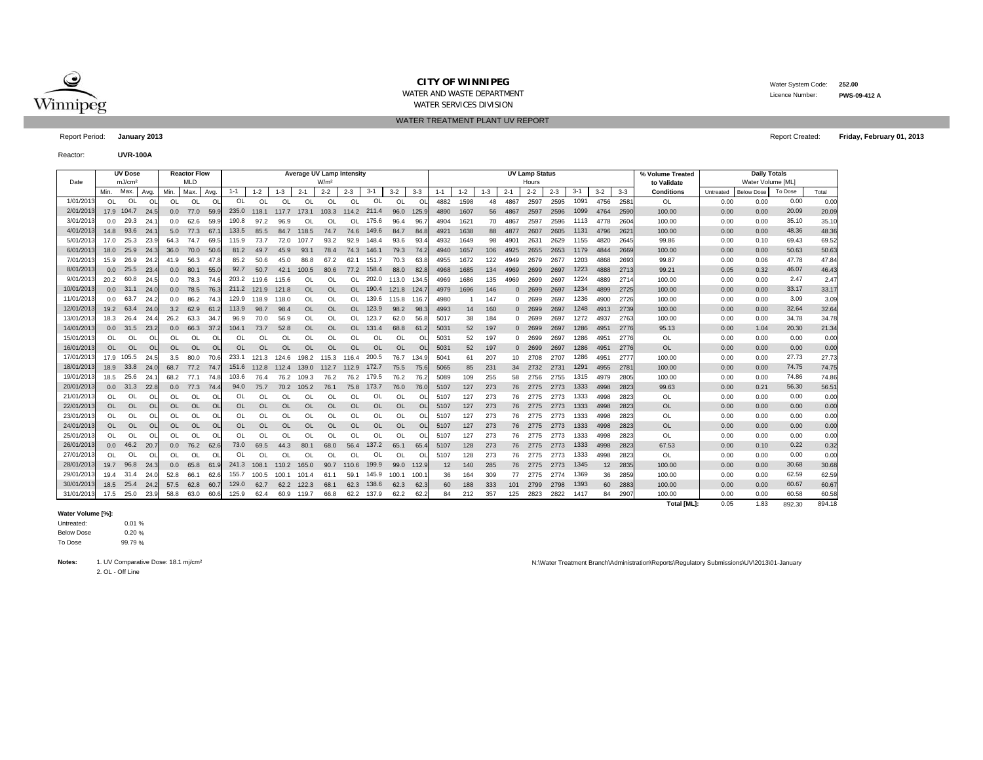

WATER AND WASTE DEPARTMENT

WATER SERVICES DIVISION WATER TREATMENT PLANT UV REPORT Water System Code: **252.00**

Report Period: **January 2013** Report Created:

Reactor:**UVR-100A**

|           |           | <b>UV Dose</b>     | Average UV Lamp Intensity<br><b>Reactor Flow</b><br><b>MLD</b><br>W/m <sup>2</sup> |           |           |                |           |           |           |           |           |           |           |           |              |         | <b>UV Lamp Status</b> |         |            |         |         | % Volume Treated |         | <b>Daily Totals</b> |                    |           |                   |         |        |
|-----------|-----------|--------------------|------------------------------------------------------------------------------------|-----------|-----------|----------------|-----------|-----------|-----------|-----------|-----------|-----------|-----------|-----------|--------------|---------|-----------------------|---------|------------|---------|---------|------------------|---------|---------------------|--------------------|-----------|-------------------|---------|--------|
| Date      |           | mJ/cm <sup>2</sup> |                                                                                    |           |           |                |           |           |           |           |           |           |           |           |              |         |                       |         |            | Hours   |         |                  |         |                     | to Validate        |           | Water Volume [ML] |         |        |
|           | Min.      | Max.               | Avg.                                                                               | Min.      | Max.      | Avg.           | $1 - 1$   | $1 - 2$   | $1 - 3$   | $2 - 1$   | $2 - 2$   | $2 - 3$   | $3 - 1$   | $3 - 2$   | $3 - 3$      | $1 - 1$ | $1 - 2$               | $1 - 3$ | $2 - 1$    | $2 - 2$ | $2 - 3$ | $3 - 1$          | $3 - 2$ | $3-3$               | <b>Conditions</b>  | Untreated | <b>Below Dose</b> | To Dose | Total  |
| 1/01/201  | OL.       | <b>OL</b>          | <sup>OL</sup>                                                                      | OL.       | <b>OL</b> | OL             | $\Omega$  | <b>OL</b> | OL        | OL        | OL        | OL        | OL        | $\Omega$  | $\Omega$     | 4882    | 1598                  | 48      | 4867       | 2597    | 2595    | 1091             | 4756    | 2581                | OL                 | 0.00      | 0.00              | 0.00    | 0.00   |
| 2/01/201  |           | 17.9 104.7         | 24.5                                                                               | 0.0       | 77.0      | 59.9           | 235.0     | 118.1     | 117.7     | 173.1     | 103.3     | 114.2     | 211.4     | 96.0      | 125.9        | 4890    | 1607                  | 56      | 4867       | 2597    | 2596    | 1099             | 4764    | 2590                | 100.00             | 0.00      | 0.00              | 20.09   | 20.09  |
| 3/01/20'  | 0.0       | 29.3               | 24.                                                                                | 0.0       | 62.6      | 59.9           | 190.8     | 97.2      | 96.9      | OL        | OL        | OL        | 175.6     | 96.4      | 96.          | 4904    | 1621                  | 70      | 4867       | 2597    | 2596    | 1113             | 4778    | 260                 | 100.00             | 0.00      | 0.00              | 35.10   | 35.10  |
| 4/01/20'  | 14.8      | 93.6               | 24.                                                                                | 5.0       | 77.3      | 67.            | 133.5     | 85.5      | 84.7      | 118.5     | 74.7      | 74.6      | 149.6     | 84.7      | 84.8         | 4921    | 1638                  | 88      | 4877       | 2607    | 2605    | 1131             | 4796    | 2621                | 100.00             | 0.00      | 0.00              | 48.36   | 48.36  |
| 5/01/20   | 17.0      | 25.3               | 23.                                                                                | 64.3      | 74.7      | 69.            | 115.9     | 73.7      | 72.0      | 107.7     | 93.2      | 92.9      | 148.4     | 93.6      | 93.          | 4932    | 1649                  | 98      | 4901       | 2631    | 2629    | 1155             | 4820    | 2645                | 99.86              | 0.00      | 0.10              | 69.43   | 69.52  |
| 6/01/20'  | 18.0      | 25.9               | 24.                                                                                | 36.0      | 70.0      | 50.            | 81.2      | 49.7      | 45.9      | 93.1      | 78.4      | 74.3      | 146.1     | 79.3      | 74.2         | 4940    | 1657                  | 106     | 4925       | 2655    | 2653    | 1179             | 4844    | 2669                | 100.00             | 0.00      | 0.00              | 50.63   | 50.63  |
| 7/01/201  | 15.9      | 26.9               | 24.2                                                                               | 41.9      | 56.3      | 47.            | 85.2      | 50.6      | 45.0      | 86.8      | 67.2      | 62.1      | 151.7     | 70.3      | 63.8         | 4955    | 1672                  | 122     | 4949       | 2679    | 2677    | 1203             | 4868    | 2693                | 99.87              | 0.00      | 0.06              | 47.78   | 47.84  |
| 8/01/201  | 0.0       | 25.5               | 23.4                                                                               | 0.0       | 80.1      | 55.0           | 92.7      | 50.7      | 42.1      | 100.5     | 80.6      | 77.2      | 158.4     | 88.0      | 82.8         | 4968    | 1685                  | 134     | 4969       | 2699    | 2697    | 1223             | 4888    | 2713                | 99.21              | 0.05      | 0.32              | 46.07   | 46.43  |
| 9/01/201  | 20.2      | 60.8               | 24.5                                                                               | 0.0       | 78.3      | 74.6           | 203.2     | 119.6     | 115.6     | OL        | OL        | OL.       | 202.0     | 113.0     | 134.5        | 4969    | 1686                  | 135     | 4969       | 2699    | 2697    | 1224             | 4889    | 2714                | 100.00             | 0.00      | 0.00              | 2.47    | 2.47   |
| 10/01/201 | 0.0       | 31.1               | 24.0                                                                               | 0.0       | 78.5      | 76.            | 211.2     | 121.9     | 121.8     | <b>OL</b> | <b>OL</b> | OL        | 190.4     | 121.8     | -124.        | 4979    | 1696                  | 146     | $\Omega$   | 2699    | 2697    | 1234             | 4899    | 2725                | 100.00             | 0.00      | 0.00              | 33.17   | 33.17  |
| 11/01/201 | 0.0       | 63.7               | 24.2                                                                               | 0.0       | 86.2      | 74.3           | 129.9     | 118.9     | 118.0     | OL        | OL        | OL.       | 139.6     | 115.8     | 116.         | 4980    |                       | 147     | $\Omega$   | 2699    | 2697    | 1236             | 4900    | 2726                | 100.00             | 0.00      | 0.00              | 3.09    | 3.09   |
| 12/01/201 | 19.2      | 63.4               | 24.1                                                                               | 3.2       | 62.9      | 61.            | 113.9     | 98.7      | 98.4      | OL        | <b>OL</b> | $\Omega$  | 123.9     | 98.2      | 98.          | 4993    | 14                    | 160     |            | 2699    | 2697    | 1248             | 4913    | 2739                | 100.00             | 0.00      | 0.00              | 32.64   | 32.64  |
| 13/01/201 | 18.3      | 26.4               | 24.                                                                                | 26.2      | 63.3      | 34             | 96.9      | 70.0      | 56.9      | OL        | OL        | OL.       | 123.7     | 62.0      | 56.          | 5017    | 38                    | 184     |            | 0 2699  | 2697    | 1272             | 4937    | 2763                | 100.00             | 0.00      | 0.00              | 34.78   | 34.78  |
| 14/01/201 | 0.0       | 31.5               | 23.2                                                                               | 0.0       | 66.3      | 37.            | 104.1     | 73.7      | 52.8      | OL        | OL        | OL.       | 131.4     | 68.8      | 61.          | 5031    | 52                    | 197     |            | 0 2699  | 2697    | 1286             | 4951    | 2776                | 95.13              | 0.00      | 1.04              | 20.30   | 21.34  |
| 15/01/201 | OL.       | OL                 | $\circ$                                                                            | OL.       | OL        | O              | OL        | $\Omega$  | OL        | $\Omega$  | $\Omega$  | OI        | OL        | <b>OL</b> | ΩI           | 5031    | 52                    | 197     | $^{\circ}$ | 2699    | 2697    | 1286             | 4951    | 2776                | OL                 | 0.00      | 0.00              | 0.00    | 0.00   |
| 16/01/201 | OL        | <b>OL</b>          | $\overline{O}$                                                                     | <b>OL</b> | OL        | OL             | <b>OL</b> | $\Omega$  | <b>OL</b> | OL        | OL        | <b>OL</b> | <b>OL</b> | <b>OL</b> | <sup>O</sup> | 5031    | 52                    | 197     | $\Omega$   | 2699    | 2697    | 1286             | 4951    | 2776                | <b>OL</b>          | 0.00      | 0.00              | 0.00    | 0.00   |
| 17/01/201 |           | 17.9 105.5         | 24.5                                                                               | 3.5       | 80.0      | 70.6           | 233.1     | 121.3     | 124.6     | 198.2     | 115.3     | 116.4     | 200.5     | 76.7      | 134.9        | 5041    | 61                    | 207     | 10         | 2708    | 2707    | 1286             | 4951    | 277                 | 100.00             | 0.00      | 0.00              | 27.73   | 27.73  |
| 18/01/201 | 18.9      | 33.8               | 24.0                                                                               | 68.7      | 77.2      | 74.            | 151.6     | 112.8     | 112.4     | 139.0     | 112.7     | 112.9     | 172.7     | 75.5      | 75.6         | 5065    | 85                    | 23'     | 34         | 2732    | 2731    | 1291             | 4955    | 2781                | 100.00             | 0.00      | 0.00              | 74.75   | 74.75  |
| 19/01/20  | 18.5      | 25.6               | 24                                                                                 | 68.2      | 77.1      | 74.            | 103.6     | 76.4      | 76.2      | 109.3     | 76.2      | 76.2      | 179.5     | 76.2      | 76.          | 5089    | 109                   | 255     | 58         | 2756    | 2755    | 1315             | 4979    | 2805                | 100.00             | 0.00      | 0.00              | 74.86   | 74.86  |
| 20/01/201 | 0.0       | 31.3               | 22.8                                                                               | 0.0       | 77.3      | 74.            | 94.0      | 75.7      | 70.2      | 105.2     | 76.1      | 75.8      | 173.7     | 76.0      | 76.          | 5107    | 127                   | 273     | 76         | 2775    | 2773    | 1333             | 4998    | 2823                | 99.63              | 0.00      | 0.21              | 56.30   | 56.51  |
| 21/01/201 | OL        | OL                 | $\Omega$                                                                           | OL        | OL        | $\Omega$       | OL        | OL        | OL        | $\Omega$  | $\Omega$  | $\Omega$  | OL        | OL        | Ω            | 5107    | 127                   | 273     | 76         | 2775    | 2773    | 1333             | 4998    | 2823                | OL                 | 0.00      | 0.00              | 0.00    | 0.00   |
| 22/01/201 | OL.       | <b>OL</b>          | O <sub>l</sub>                                                                     | <b>OL</b> | <b>OL</b> | $\overline{O}$ | <b>OL</b> | <b>OL</b> | <b>OL</b> | OL        | OL        | OL        | <b>OL</b> | <b>OL</b> | OL           | 5107    | 127                   | 273     | 76         | 2775    | 2773    | 1333             | 4998    | 2823                | <b>OL</b>          | 0.00      | 0.00              | 0.00    | 0.00   |
| 23/01/201 | OL.       | OL                 | $\Omega$                                                                           | OL        | OL        | O              | OL        | OL        | <b>OL</b> | <b>OL</b> | OL        | OL        | OL        | <b>OL</b> | OL           | 5107    | 127                   | 273     | 76         | 2775    | 2773    | 1333             | 4998    | 2823                | OL                 | 0.00      | 0.00              | 0.00    | 0.00   |
| 24/01/201 | <b>OL</b> | <b>OL</b>          | Ol                                                                                 | OL        | OL        | OL             | <b>OL</b> | OL        | <b>OL</b> | <b>OL</b> | <b>OL</b> | OL        | OL        | <b>OL</b> | OL           | 5107    | 127                   | 273     | 76         | 2775    | 2773    | 1333             | 4998    | 2823                | OL                 | 0.00      | 0.00              | 0.00    | 0.00   |
| 25/01/201 | OL        | OL                 | O                                                                                  | OL.       | OL        | OL             | $\Omega$  | $\Omega$  | OL        | $\Omega$  | <b>OL</b> | <b>OI</b> | OL        | $\Omega$  | OI           | 5107    | 127                   | 273     | 76         | 2775    | 2773    | 1333             | 4998    | 2823                | OL                 | 0.00      | 0.00              | 0.00    | 0.00   |
| 26/01/201 | 0.0       | 46.2               | 20.7                                                                               | 0.0       | 76.2      | 62.            | 73.0      | 69.5      | 44.3      | 80.1      | 68.0      | 56.4      | 137.2     | 65.1      | 65.4         | 5107    | 128                   | 273     | 76         | 2775    | 2773    | 1333             | 4998    | 2823                | 67.53              | 0.00      | 0.10              | 0.22    | 0.32   |
| 27/01/201 | OL.       | OL                 | $\circ$                                                                            | OL        | OL        | O              | OL        | $\Omega$  | OL        | $\Omega$  | OL        | $\Omega$  | OL        | $\Omega$  | $\Omega$     | 5107    | 128                   | 273     | 76         | 2775    | 2773    | 1333             | 4998    | 2823                | OL                 | 0.00      | 0.00              | 0.00    | 0.00   |
| 28/01/201 | 19.7      | 96.8               | 24                                                                                 | 0.0       | 65.8      | 61             | 241.3     | 108.1     | 110.2     | 165.0     | 90.7      | 110.6     | 199.9     | 99.0      | 112.9        | 12      | 140                   | 285     | 76         | 2775    | 2773    | 1345             | 12      | 2835                | 100.00             | 0.00      | 0.00              | 30.68   | 30.68  |
| 29/01/201 | 19.4      | 31.4               | 24.0                                                                               | 52.8      | 66.1      | 62.6           | 155.7     | 100.5     | 100.1     | 101.4     | 61.1      | 59.1      | 145.9     | 100.1     | 100          | 36      | 164                   | 309     | 77         | 2775    | 2774    | 1369             | 36      | 2859                | 100.00             | 0.00      | 0.00              | 62.59   | 62.59  |
| 30/01/201 | 18.5      | 25.4               | 24.2                                                                               | 57.5      | 62.8      | 60.            | 129.0     | 62.7      | 62.2      | 122.3     | 68.1      | 62.3      | 138.6     | 62.3      | 62.3         | 60      | 188                   | 333     | 101        | 2799    | 2798    | 1393             | 60      | 2883                | 100.00             | 0.00      | 0.00              | 60.67   | 60.67  |
| 31/01/20  | 17.5      | 25.0               | 23.9                                                                               | 58.8      | 63.0      | 60.6           | 125.9     | 62.4      | 60.9      | 119.7     | 66.8      | 62.2      | 137.9     | 62.2      | 62.2         | 84      | 212                   | 357     | 125        | 2823    | 2822    | 1417             | 84      | 2907                | 100.00             | 0.00      | 0.00              | 60.58   | 60.58  |
|           |           |                    |                                                                                    |           |           |                |           |           |           |           |           |           |           |           |              |         |                       |         |            |         |         |                  |         |                     | <b>Total [ML]:</b> | 0.05      | 1.83              | 892.30  | 894.18 |

## **Water Volume [%]:**

%  $0 %$  % Untreated: Below Dose To Dose

**Notes:**

2. OL - Off Line

1. UV Comparative Dose: 18.1 mj/cm<sup>2</sup> Nicolar Administration Reports Negative Dose 18.1 milionstration Neports\Requisions\UV\2013\01-January Networkshipsions\UV\2013\01-January Networkshipsions\UV\2013\01-January

**Friday, February 01, 2013**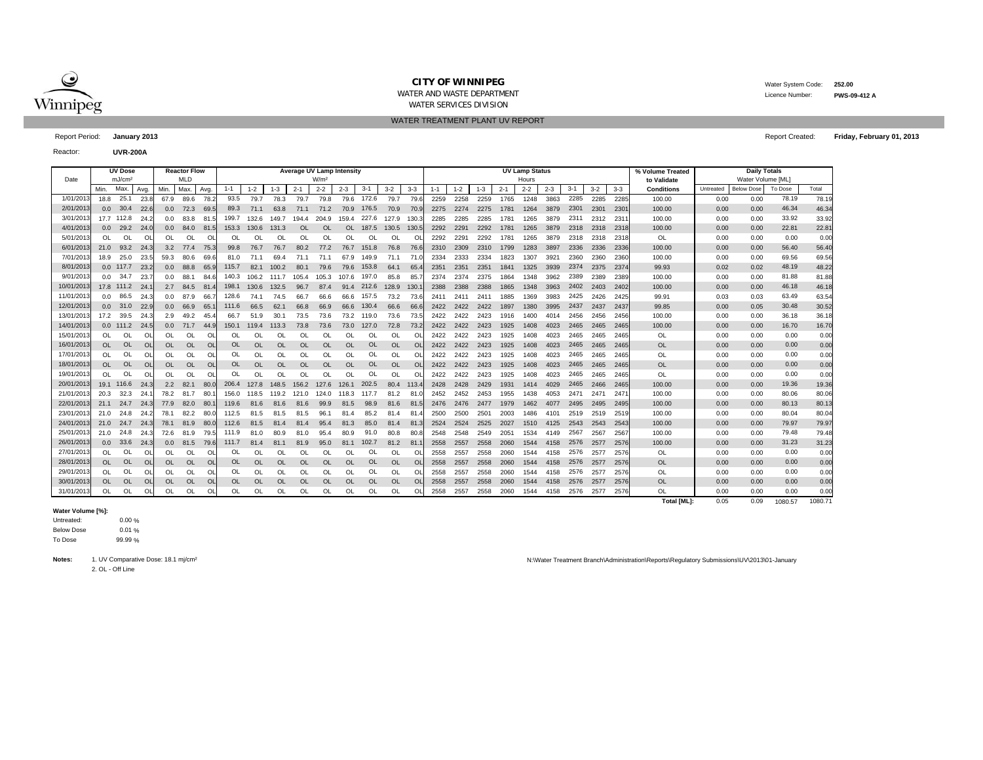

WATER AND WASTE DEPARTMENT

 Water System Code: **252.00** Licence Number:**PWS-09-412 A**

WATER SERVICES DIVISION WATER TREATMENT PLANT UV REPORT

Report Period: **January 2013** Report Created:

Reactor:**UVR-200A**

|            |                  | <b>UV Dose</b>     |           |               | <b>Reactor Flow</b> |         |           |           |           |           | <b>Average UV Lamp Intensity</b> |           |            |           |          |         |         |         |         | <b>UV Lamp Status</b> |                  |         |       |         | % Volume Treated   |           | <b>Daily Totals</b> |         |         |
|------------|------------------|--------------------|-----------|---------------|---------------------|---------|-----------|-----------|-----------|-----------|----------------------------------|-----------|------------|-----------|----------|---------|---------|---------|---------|-----------------------|------------------|---------|-------|---------|--------------------|-----------|---------------------|---------|---------|
| Date       |                  | mJ/cm <sup>2</sup> |           |               | <b>MLD</b>          |         |           |           |           |           | W/m <sup>2</sup>                 |           |            |           |          |         |         |         |         | Hours                 |                  |         |       |         | to Validate        |           | Water Volume [ML]   |         |         |
|            | Min.             | Max.               | Avg.      | <b>Min</b>    | Max.                | Avg.    | $1 - 1$   | $1 - 2$   | $1 - 3$   | $2 - 1$   | $2 - 2$                          | $2 - 3$   | $3 - 1$    | $3 - 2$   | $3 - 3$  | $1 - 1$ | $1 - 2$ | $1 - 3$ | $2 - 1$ | $2 - 2$               | $2 - 3$          | $3 - 1$ | $3-2$ | $3 - 3$ | <b>Conditions</b>  | Untreated | <b>Below Dose</b>   | To Dose | Total   |
| 1/01/201   | 18.8             | 25.1               | 23.8      | 67.9          | 89.6                | 78.     | 93.5      | 79.7      | 78.3      | 79.7      | 79.8                             |           | 79.6 172.6 | 79.7      | 79.6     | 2259    | 2258    | 2259    | 1765    | 1248                  | 3863             | 2285    | 2285  | 2285    | 100.00             | 0.00      | 0.00                | 78.19   | 78.19   |
| 2/01/201   | 0.0              | 30.4               | 22.6      | 0.0           | 72.3                | 69.5    | 89.3      | 71.1      | 63.8      | 71.1      | 71.2                             | 70.9      | 176.5      | 70.9      | 70.9     | 2275    | 2274    | 2275    | 1781    | 1264                  | 3879             | 2301    | 2301  | 2301    | 100.00             | 0.00      | 0.00                | 46.34   | 46.34   |
| 3/01/201   |                  | 17.7 112.8         | 24.2      | 0.0           | 83.8                | 81.5    | 199.7     | 132.6     | 149.7     | 194.4     | 204.9                            | 159.4     | 227.6      | 127.9     | 130.3    | 2285    | 2285    | 2285    | 1781    | 1265                  | 3879             | 2311    | 2312  | 231'    | 100.00             | 0.00      | 0.00                | 33.92   | 33.92   |
| 4/01/2013  | 0.0              | 29.2               | 24.0      | 0.0           | 84.0                | 81.5    | 153.3     | 130.6     | 131.3     | <b>OL</b> | OL                               | OL        | 187.5      | 130.5     | 130.5    | 2292    | 2291    | 2292    | 1781    | 1265                  | 3879             | 2318    | 2318  | 2318    | 100.00             | 0.00      | 0.00                | 22.81   | 22.81   |
| 5/01/201   | $\Omega$         | $\Omega$           | <b>OL</b> | <sup>OL</sup> | OL                  | OL      | $\Omega$  | OL        | $\Omega$  | OL        | OL                               | OL        | OL         | OL        | $\Omega$ | 2292    | 2291    | 2292    | 1781    | 1265                  | 3879             | 2318    | 2318  | 2318    | OL                 | 0.00      | 0.00                | 0.00    | 0.00    |
| 6/01/201   | 21.0             | 93.2               | $-24.3$   | 3.2           | 77.4                | 75.     | 99.8      | 76.7      | 76.7      | 80.2      | 77.2                             | 76.7      | 151.8      | 76.8      | 76.6     | 2310    | 2309    | 2310    | 1799    | 1283                  | 3897             | 2336    | 2336  | 2336    | 100.00             | 0.00      | 0.00                | 56.40   | 56.40   |
| 7/01/201   | 18.9             | 25.0               | 23.5      | 59.3          | 80.6                | 69.6    | 81.0      | 71.1      | 69.4      | 71.1      | 71.1                             | 67.9      | 149.9      | 71.1      | 71.      | 2334    | 2333    | 2334    | 1823    | 1307                  | 3921             | 2360    | 2360  | 2360    | 100.00             | 0.00      | 0.00                | 69.56   | 69.56   |
| 8/01/2013  |                  | $0.0$ 117.7        | 23.2      | 0.0           | 88.8                | 65.     | 115.7     | 82.1      | 100.2     | 80.1      | 79.6                             | 79.6      | 153.8      | 64.1      | 65.      | 2351    | 2351    | 2351    | 1841    | 1325                  | 3939             | 2374    | 2375  | 2374    | 99.93              | 0.02      | 0.02                | 48.19   | 48.22   |
| 9/01/201   |                  | $0.0$ 34.7         | 23.       | 0.0           | 88.1                | 84.6    | 140.3     | 106.2     | 111.7     | 105.4     | 105.3                            | 107.6     | 197.0      | 85.8      | 85.7     | 2374    | 2374    | 2375    | 1864    | 1348                  | 3962             | 2389    | 2389  | 2389    | 100.00             | 0.00      | 0.00                | 81.88   | 81.88   |
| 10/01/2013 |                  | 17.8 111.2         | 24.7      | 2.7           | 84.5                | 81.     | 198.1     | 130.6     | 132.5     | 96.7      | 87.4                             | 91.4      | 212.6      | 128.9     | 130.     | 2388    | 2388    | 2388    | 1865    | 1348                  | 3963             | 2402    | 2403  | 2402    | 100.00             | 0.00      | 0.00                | 46.18   | 46.18   |
| 11/01/201  | 0.0              | 86.5               | 24.3      | 0.0           | 87.9                | 66.     | 128.6     | 74.1      | 74.5      | 66.7      | 66.6                             | 66.6      | 157.5      | 73.2      | 73.6     | 2411    | 2411    | 2411    | 1885    | 1369                  | 3983             | 2425    | 2426  | 2425    | 99.91              | 0.03      | 0.03                | 63.49   | 63.54   |
| 12/01/2013 | 0.0              | 31.0               | 22.9      | 0.0           | 66.9                | 65.     | 111.6     | 66.5      | 62.1      | 66.8      | 66.9                             | 66.6      | 130.4      | 66.6      | 66.6     | 2422    | 2422    | 2422    | 1897    | 1380                  | 3995             | 2437    | 2437  | 2437    | 99.85              | 0.00      | 0.05                | 30.48   | 30.52   |
| 13/01/201  | 17.2             | 39.5               | 24.3      | 2.9           | 49.2                | 45.     | 66.7      | 51.9      | 30.7      | 73.5      | 73.6                             | 73.2      | 119.0      | 73.6      | 73.5     | 2422    | 2422    | 2423    | 1916    | 1400                  | 4014             | 2456    | 2456  | 2456    | 100.00             | 0.00      | 0.00                | 36.18   | 36.18   |
| 14/01/2013 |                  | $0.0$ 111.2        | 24.5      | 0.0           | 71.7                | $-44.5$ | 150.1     | 119.4     | 113.3     | 73.8      | 73.6                             | 73.0      | 127.0      | 72.8      | 73.2     | 2422    | 2422    | 2423    | 1925    | 1408                  | 4023             | 2465    | 2465  | 2465    | 100.00             | 0.00      | 0.00                | 16.70   | 16.70   |
| 15/01/201  | $\Omega$         | OL                 | ΩI        | 0L            | $\Omega$            | O       | OL        | $\Omega$  | $\Omega$  | $\Omega$  | $\Omega$                         | $\Omega$  | OL         | $\Omega$  |          | 2422    | 2422    | 2423    | 1925    | 1408                  | 4023             | 2465    | 2465  | 2465    | <b>OL</b>          | 0.00      | 0.00                | 0.00    | 0.00    |
| 16/01/2013 | <b>OL</b>        | <b>OL</b>          | OL        | <b>OL</b>     | <b>OL</b>           | OL      | <b>OL</b> | OL        | $\Omega$  | <b>OL</b> | OL                               | $\Omega$  | <b>OL</b>  | OL        | OL       | 2422    | 2422    | 2423    | 1925    | 1408                  | 4023             | 2465    | 2465  | 2465    | <b>OL</b>          | 0.00      | 0.00                | 0.00    | 0.00    |
| 17/01/2013 | OL               | OL                 | <b>OL</b> | OL            | OL                  | OL      | OL        | OL        | <b>OL</b> | OL        | OL                               | OL        | OL         | OL        | OL       | 2422    | 2422    | 2423    | 1925    | 1408                  | 4023             | 2465    | 2465  | 2465    | <b>OL</b>          | 0.00      | 0.00                | 0.00    | 0.00    |
| 18/01/2013 | OL               | <b>OL</b>          | $\Omega$  | <b>OL</b>     | OL                  | OL      | <b>OL</b> | $\Omega$  | OL        | $\Omega$  | OL                               | OL        | <b>OL</b>  | OL        | OL       | 2422    | 2422    | 2423    | 1925    | 1408                  | 4023             | 2465    | 2465  | 2465    | <b>OL</b>          | 0.00      | 0.00                | 0.00    | 0.00    |
| 19/01/2013 | OL               | OL                 | OL        | <b>OL</b>     | OL                  | OL      | OL        | <b>OI</b> | $\Omega$  | OL        | OL                               | OL        | OL         | OL        | $\Omega$ | 2422    | 2422    | 2423    | 1925    | 1408                  | 4023             | 2465    | 2465  | 2465    | OL                 | 0.00      | 0.00                | 0.00    | 0.00    |
| 20/01/2013 |                  | 19.1 116.6         | 24.3      | 2.2           | 82.1                | 80.0    | 206.4     | 127.8     | 148.5     | 156.2     | 127.6                            | 126.1     | 202.5      | 80.4      | 113.     | 2428    | 2428    | 2429    | 1931    | 1414                  | 4029             | 2465    | 2466  | 2465    | 100.00             | 0.00      | 0.00                | 19.36   | 19.36   |
| 21/01/201  | 20.3             | 32.3               | 24.       | 78.2          | 81.7                | 80.     | 156.0     | 118.5     | 119.2     | 121.0     | 124.0                            | 118.3     | 117.7      | 81.2      | 81       | 2452    | 2452    | 2453    | 1955    | 1438                  | 4053             | 2471    | 2471  | 247     | 100.00             | 0.00      | 0.00                | 80.06   | 80.06   |
| 22/01/201  | 21.1             | 24.7               | 24.3      | 77.9          | 82.0                | 80      | 119.6     | 81.6      | 81.6      | 81.6      | 99.9                             | 81.5      | 98.9       | 81.6      | 81.      | 2476    | 2476    | 2477    | 1979    | 1462                  | 4077             | 2495    | 2495  | 2495    | 100.00             | 0.00      | 0.00                | 80.13   | 80.13   |
| 23/01/201  | 21.0             | 24.8               | 24.2      | 78.1          | 82.2                | 80.0    | 112.5     | 81.5      | 81<br>.5  | 81.5      | 96.                              | 81.4      | 85.2       | 81.4      | 81.      | 2500    | 2500    | 2501    | 2003    | 1486                  | 410 <sup>°</sup> | 2519    | 2519  | 2519    | 100.00             | 0.00      | 0.00                | 80.04   | 80.04   |
| 24/01/201  | 21.0             | 24.7               | 24.3      | 78.1          | 81.9                | 80.0    | 112.6     | 81.5      | 81.4      | 81.4      | 95.4                             | 81.3      | 85.0       | 81.4      | 81.3     | 2524    | 2524    | 2525    | 2027    | 1510                  | 4125             | 2543    | 2543  | 2543    | 100.00             | 0.00      | 0.00                | 79.97   | 79.97   |
| 25/01/201  | 21.0             | 24.8               | 24.3      | 72.6          | 81.9                | 79.5    | 111.9     | 81.0      | 80.9      | 81.0      | 95.4                             | 80.9      | 91.0       | 80.8      | 80.8     | 2548    | 2548    | 2549    | 2051    | 1534                  | 4149             | 2567    | 2567  | 2567    | 100.00             | 0.00      | 0.00                | 79.48   | 79.48   |
| 26/01/2013 | 0.0 <sub>0</sub> | 33.6               | 24.3      | 0.0           | 81.5                | 79.6    | 111.7     | 81.4      | 81.1      | 81.9      | 95.0                             | 81.1      | 102.7      | 81.2      | 81.      | 2558    | 2557    | 2558    | 2060    | 1544                  | 4158             | 2576    | 2577  | 2576    | 100.00             | 0.00      | 0.00                | 31.23   | 31.23   |
| 27/01/201  | OL               | OL                 | ΩI        | 0L            | OL                  | O       | OL        | $\Omega$  | $\Omega$  | $\Omega$  | $\Omega$                         | $\Omega$  | OL         | $\Omega$  | $\Omega$ | 2558    | 2557    | 2558    | 2060    | 1544                  | 4158             | 2576    | 2577  | 2576    | <b>OL</b>          | 0.00      | 0.00                | 0.00    | 0.00    |
| 28/01/2013 | <b>OL</b>        | <b>OL</b>          | OL        | OL            | OL                  | OL      | OL        | OL        | $\Omega$  | <b>OL</b> | <b>OL</b>                        | <b>OL</b> | <b>OL</b>  | OL        | $\Omega$ | 2558    | 2557    | 2558    | 2060    | 1544                  | 4158             | 2576    | 2577  | 2576    | <b>OL</b>          | 0.00      | 0.00                | 0.00    | 0.00    |
| 29/01/201  | OL               | OL                 | <b>OL</b> | <sup>OL</sup> | OL                  | OL      | OL        | $\Omega$  | $\Omega$  | OL        | OL                               | OL        | OL         | OL        | OL       | 2558    | 2557    | 2558    | 2060    | 1544                  |                  | 2576    | 2577  | 2576    | OL                 | 0.00      | 0.00                | 0.00    | 0.00    |
| 30/01/2013 | <b>OL</b>        | <b>OL</b>          | <b>OL</b> | <b>OL</b>     | <b>OL</b>           | OL      | OL        | <b>OL</b> | <b>OL</b> | <b>OL</b> | OL                               | OL        | <b>OL</b>  | <b>OL</b> | OL       | 2558    | 2557    | 2558    | 2060    | 1544                  | 4158             | 2576    | 2577  | 2576    | <b>OL</b>          | 0.00      | 0.00                | 0.00    | 0.00    |
| 31/01/201  | OL               | OL                 | OL        | OL            | OL                  | OL      | OL        | OL        | $\Omega$  | OL        | OL                               | OL        | OL         | OL        |          | 2558    | 2557    | 2558    | 2060    | 1544                  | 4158             | 2576    | 2577  | 2576    | OL                 | 0.00      | 0.00                | 0.00    | 0.00    |
|            |                  |                    |           |               |                     |         |           |           |           |           |                                  |           |            |           |          |         |         |         |         |                       |                  |         |       |         | <b>Total [ML]:</b> | 0.05      | 0.09                | 1080.57 | 1080.71 |

## **Water Volume [%]:**

0.00 %  $1 %$ 9 % Untreated: Below Dose To Dose

**Notes:**

2. OL - Off Line

1. UV Comparative Dose: 18.1 mj/cm² N:\Water Treatment Branch\Administration\Reports\Regulatory Submissions\UV\2013\01-January

**Friday, February 01, 2013**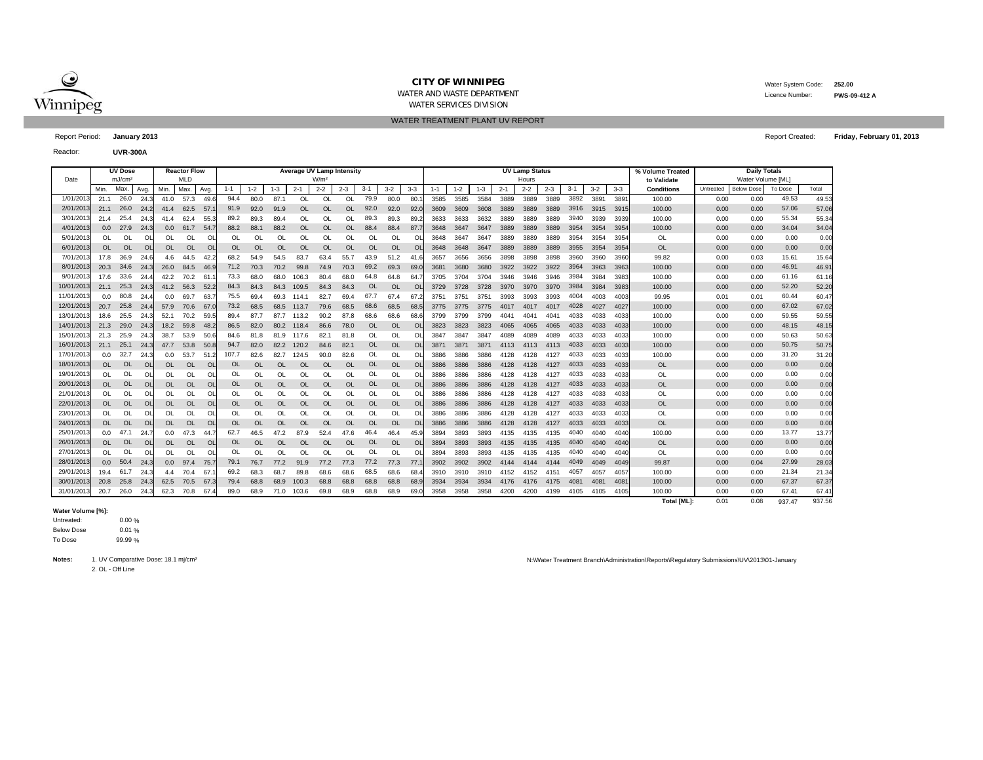

WATER AND WASTE DEPARTMENT

WATER SERVICES DIVISION WATER TREATMENT PLANT UV REPORT  Water System Code: **252.00** Licence Number:

**PWS-09-412 A**

**Friday, February 01, 2013**

Report Period: **January 2013** Report Created:

Reactor:**UVR-300A**

|           |           | <b>UV Dose</b>             | <b>Average UV Lamp Intensity</b><br><b>Reactor Flow</b><br>MLD<br>W/m <sup>2</sup> |               |           |                |           |           |          |           |           |           |           |           | <b>UV Lamp Status</b> |         |         |         |         | % Volume Treated |         | <b>Daily Totals</b> |         |         |                                  |           |                                        |         |        |
|-----------|-----------|----------------------------|------------------------------------------------------------------------------------|---------------|-----------|----------------|-----------|-----------|----------|-----------|-----------|-----------|-----------|-----------|-----------------------|---------|---------|---------|---------|------------------|---------|---------------------|---------|---------|----------------------------------|-----------|----------------------------------------|---------|--------|
| Date      | Min.      | mJ/cm <sup>2</sup><br>Max. | Avg.                                                                               | Min.          | Max       | Ava            | $1 - 1$   | $1 - 2$   | $1 - 3$  | $2 - 1$   | $2 - 2$   | $2 - 3$   | $3 - 1$   | $3 - 2$   | $3-3$                 | $1 - 1$ | $1 - 2$ | $1 - 3$ | $2 - 1$ | Hours<br>$2 - 2$ | $2 - 3$ | $3 - 1$             | $3 - 2$ | $3 - 3$ | to Validate<br><b>Conditions</b> | Untreated | Water Volume [ML]<br><b>Below Dose</b> | To Dose | Total  |
| 1/01/201  | 21.1      | 26.0                       | 24.3                                                                               | 41.0          | 57.3      | 49.6           | 94.4      | 80.0      | 87.1     | OL        | OL        | OL        | 79.9      | 80.0      | 80.                   | 3585    | 3585    | 3584    | 3889    | 3889             | 3889    | 3892                | 3891    | 389'    | 100.00                           | 0.00      | 0.00                                   | 49.53   | 49.53  |
| 2/01/201  | 21.1      | 26.0                       | 24.2                                                                               | 41.4          | 62.5      | 57             | 91.9      | 92.0      | 91.9     | <b>OL</b> | <b>OL</b> | <b>OL</b> | 92.0      | 92.0      | 92.0                  | 3609    | 3609    | 3608    | 3889    | 3889             | 3889    | 3916                | 3915    | 3915    | 100.00                           | 0.00      | 0.00                                   | 57.06   | 57.06  |
| 3/01/201  | 21.4      | 25.4                       | 24.3                                                                               | 41.4          | 62.4      | 55.3           | 89.2      | 89.3      | 89.4     | OL        | OL        | OL        | 89.3      | 89.3      | 89.                   | 3633    | 3633    | 3632    | 3889    | 3889             | 3889    | 3940                | 3939    | 3939    | 100.00                           | 0.00      | 0.00                                   | 55.34   | 55.34  |
| 4/01/201  | 0.0       | 27.9                       | 24.3                                                                               | 0.0           | 61.7      | 54.            | 88.2      | 88.1      | 88.2     | OL        | $\Omega$  | <b>OL</b> | 88.4      | 88.4      | 87.                   | 3648    | 3647    | 3647    | 3889    | 3889             | 3889    | 3954                | 3954    | 3954    | 100.00                           | 0.00      | 0.00                                   | 34.04   | 34.04  |
| 5/01/201  | $\Omega$  | OL                         | OL                                                                                 | <sup>OL</sup> | $\Omega$  | OL             | OL        | OL.       | O        | OL        | $\Omega$  | OL        | OL        | $\Omega$  | O                     | 3648    | 3647    | 3647    | 3889    | 3889             | 3889    | 3954                | 3954    | 3954    | OL                               | 0.00      | 0.00                                   | 0.00    | 0.00   |
| 6/01/201  | <b>OL</b> | <b>OL</b>                  | $\Omega$                                                                           | <b>OL</b>     | <b>OL</b> | <b>OI</b>      | OL        | OL        | OL       | OL        | <b>OL</b> | <b>OL</b> | OL        | OL        | $\Omega$              | 3648    | 3648    | 3647    | 3889    | 3889             | 3889    | 3955                | 3954    | 3954    | <b>OL</b>                        | 0.00      | 0.00                                   | 0.00    | 0.00   |
| 7/01/201  | 17.8      | 36.9                       | 24.6                                                                               | 4.6           | 44.5      | 42.            | 68.2      | 54.9      | 54.5     | 83.7      | 63.4      | 55.7      | 43.9      | 51.2      | 41.                   | 3657    | 3656    | 3656    | 3898    | 3898             | 3898    | 3960                | 3960    | 3960    | 99.82                            | 0.00      | 0.03                                   | 15.61   | 15.64  |
| 8/01/201  | 20.3      | 34.6                       | 24.3                                                                               | 26.0          | 84.5      | 46.9           | 71.2      | 70.3      | 70.2     | 99.8      | 74.9      | 70.3      | 69.2      | 69.3      | 69.                   | 3681    | 3680    | 3680    | 3922    | 3922             | 3922    | 3964                | 3963    | 3963    | 100.00                           | 0.00      | 0.00                                   | 46.91   | 46.91  |
| 9/01/201  | 17.6      | 33.6                       | 24.4                                                                               | 42.2          | 70.2      | 61             | 73.3      | 68.0      | 68.0     | 106.3     | 80.4      | 68.0      | 64.8      | 64.8      | 64.                   | 3705    | 3704    | 3704    | 3946    | 3946             | 3946    | 3984                | 3984    | 3983    | 100.00                           | 0.00      | 0.00                                   | 61.16   | 61.16  |
| 10/01/201 | 21.1      | 25.3                       | 24.3                                                                               | 41.2          | 56.3      | 52.3           | 84.3      | 84.3      | 84.3     | 109.5     | 84.3      | 84.3      | <b>OL</b> | <b>OL</b> | $\Omega$              | 3729    | 3728    | 3728    | 3970    | 3970             | 3970    | 3984                | 3984    | 3983    | 100.00                           | 0.00      | 0.00                                   | 52.20   | 52.20  |
| 11/01/201 | 0.0       | 80.8                       | 24.4                                                                               | 0.0           | 69.7      | 63.            | 75.5      | 69.4      | 69.3     | 114.1     | 82.7      | 69.4      | 67.7      | 67.4      | 67                    | 3751    | 375'    | 3751    | 3993    | 3993             | 3993    | 4004                | 4003    | 4003    | 99.95                            | 0.01      | 0.01                                   | 60.44   | 60.47  |
| 12/01/201 | 20.7      | 25.8                       | 24.                                                                                | 57.9          | 70.6      | 67.            | 73.2      | 68.5      | 68.5     | 113.7     | 79.6      | 68.5      | 68.6      | 68.5      | 68.                   | 3775    | 3775    | 3775    | 4017    | 4017             | 4017    | 4028                | 4027    | 4027    | 100.00                           | 0.00      | 0.00                                   | 67.02   | 67.02  |
| 13/01/201 | 18.6      | 25.5                       | 24.                                                                                | 52.1          | 70.2      | 59.            | 89.4      | 87.7      | 87.7     | 113.2     | 90.2      | 87.8      | 68.6      | 68.6      | 68.                   | 3799    | 3799    | 3799    | 4041    | 4041             | 4041    | 4033                | 4033    | 4033    | 100.00                           | 0.00      | 0.00                                   | 59.55   | 59.55  |
| 14/01/201 | 21.3      | 29.0                       | 24.3                                                                               | 18.2          | 59.8      | 48.2           | 86.5      | 82.0      | 80.2     | 118.4     | 86.6      | 78.0      | <b>OL</b> | $\Omega$  | $\Omega$              | 3823    | 3823    | 3823    | 4065    | 4065             | 4065    | 4033                | 4033    | 4033    | 100.00                           | 0.00      | 0.00                                   | 48.15   | 48.15  |
| 15/01/201 | 21.3      | 25.9                       | 24.3                                                                               | 38.7          | 53.9      | 50.6           | 84.6      | 81.8      | 81.9     | 117.6     | 82.1      | 81.8      | OL        | $\Omega$  | $\Omega$              | 3847    | 3847    | 3847    | 4089    | 4089             | 4089    | 4033                | 4033    | 4033    | 100.00                           | 0.00      | 0.00                                   | 50.63   | 50.63  |
| 16/01/201 | 21.1      | 25.1                       | 24.3                                                                               | 47.7          | 53.8      | 50.8           | 94.7      | 82.0      | 82.2     | 120.2     | 84.6      | 82.1      | OL        | OL        | <b>OL</b>             | 3871    | 3871    | 3871    | 4113    | 4113             | 4113    | 4033                | 4033    | 4033    | 100.00                           | 0.00      | 0.00                                   | 50.75   | 50.75  |
| 17/01/201 | 0.0       | 32.7                       | 24.3                                                                               | 0.0           | 53.7      | 51.            | 107.7     | 82.6      | 82.7     | 124.5     | 90.0      | 82.6      | OL        | OL        | O                     | 3886    | 3886    | 3886    | 4128    | 4128             | 4127    | 4033                | 4033    | 4033    | 100.00                           | 0.00      | 0.00                                   | 31.20   | 31.20  |
| 18/01/201 | $\Omega$  | <b>OL</b>                  | <b>OL</b>                                                                          | <b>OL</b>     | <b>OL</b> | <b>OL</b>      | OL        | OL.       | OL       | <b>OL</b> | <b>OL</b> | <b>OL</b> | OL        | OL        | $\Omega$              | 3886    | 3886    | 3886    | 4128    | 4128             | 4127    | 4033                | 4033    | 4033    | <b>OL</b>                        | 0.00      | 0.00                                   | 0.00    | 0.00   |
| 19/01/201 | $\Omega$  | OL                         | OL                                                                                 | $\Omega$      | OL        | OL             | OL        | OL.       | Ol       | OL        | OL        | OL        | OL        | $\Omega$  | O                     | 3886    | 3886    | 3886    | 4128    | 4128             | 4127    | 4033                | 4033    | 4033    | <b>OL</b>                        | 0.00      | 0.00                                   | 0.00    | 0.00   |
| 20/01/201 | $\Omega$  | <b>OL</b>                  | OL                                                                                 | <b>OL</b>     | <b>OL</b> | $\overline{O}$ | <b>OL</b> | OL        | OL       | OL        | OL        | <b>OL</b> | OL        | $\Omega$  | $\Omega$              | 3886    | 3886    | 3886    | 4128    | 4128             | 4127    | 4033                | 4033    | 4033    | <b>OL</b>                        | 0.00      | 0.00                                   | 0.00    | 0.00   |
| 21/01/201 | OL        | OL                         | OL                                                                                 | OL            | OL        | O              | OL        | OL        | Ol       | OL        | OL        | OL        | OL        | OI        | $\Omega$              | 3886    | 3886    | 3886    | 4128    | 4128             | 4127    | 4033                | 4033    | 4033    | OL                               | 0.00      | 0.00                                   | 0.00    | 0.00   |
| 22/01/201 | <b>OL</b> | <b>OL</b>                  | OL                                                                                 | <b>OL</b>     | <b>OL</b> | OL             | <b>OL</b> | <b>OL</b> | OL       | <b>OL</b> | OL        | <b>OL</b> | OL        | OL        | <sup>Ol</sup>         | 3886    | 3886    | 3886    | 4128    | 4128             | 4127    | 4033                | 4033    | 4033    | <b>OL</b>                        | 0.00      | 0.00                                   | 0.00    | 0.00   |
| 23/01/201 | $\Omega$  | OL                         | <b>OL</b>                                                                          | <b>OL</b>     | OL        | OL             | OL        | OL        | Ol       | OL        | OL        | OL        | OL        | $\Omega$  | $\Omega$              | 3886    | 3886    | 3886    | 4128    | 4128             | 4127    | 4033                | 4033    | 4033    | OL                               | 0.00      | 0.00                                   | 0.00    | 0.00   |
| 24/01/201 |           | <b>OL</b>                  | <b>OL</b>                                                                          | 0L            | <b>OL</b> | <b>OL</b>      | <b>OL</b> | OL        | OL       | <b>OL</b> | <b>OL</b> | <b>OL</b> | <b>OL</b> | OL        | <sup>Ol</sup>         | 3886    | 3886    | 3886    | 4128    | 4128             | 4127    | 4033                | 4033    | 4033    | <b>OL</b>                        | 0.00      | 0.00                                   | 0.00    | 0.00   |
| 25/01/201 | 0.0       | 47.1                       | 24.7                                                                               | 0.0           | 47.3      | 44.            | 62.7      | 46.5      | 47.2     | 87.9      | 52.4      | 47.6      | 46.4      | 46.4      | 45.                   | 3894    | 3893    | 3893    | 4135    | 4135             | 4135    | 4040                | 4040    | 4040    | 100.00                           | 0.00      | 0.00                                   | 13.77   | 13.77  |
| 26/01/201 |           | <b>OL</b>                  | <b>OL</b>                                                                          | OL            | <b>OL</b> | <b>OL</b>      | OL        | $\Omega$  | $\Omega$ | <b>OL</b> | $\Omega$  | $\Omega$  | OL        | $\Omega$  | $\Omega$              | 3894    | 3893    | 3893    | 4135    | 4135             | 4135    | 4040                | 4040    | 4040    | <b>OL</b>                        | 0.00      | 0.00                                   | 0.00    | 0.00   |
| 27/01/201 | $\Omega$  | OL                         | $\Omega$                                                                           | <sup>OL</sup> | $\Omega$  | $\Omega$       | OL        | OL.       | ΩI       | $\Omega$  | $\Omega$  | $\Omega$  | OL        | $\Omega$  | $\Omega$              | 3894    | 3893    | 3893    | 4135    | 4135             | 4135    | 4040                | 4040    | 4040    | OL                               | 0.00      | 0.00                                   | 0.00    | 0.00   |
| 28/01/201 | 0.0       | 50.4                       | 24.3                                                                               | 0.0           | 97.4      | 75.            | 79.1      | 76.7      | 77.2     | 91.9      | 77.2      | 77.3      | 77.2      | 77.3      | 77.                   | 3902    | 3902    | 3902    | 4144    | 4144             | 4144    | 4049                | 4049    | 4049    | 99.87                            | 0.00      | 0.04                                   | 27.99   | 28.03  |
| 29/01/201 | 19.4      | 61.7                       | 24.3                                                                               | 4.4           | 70.4      | 67             | 69.2      | 68.3      | 68.      | 89.8      | 68.6      | 68.6      | 68.5      | 68.6      | 68.                   | 3910    | 3910    | 3910    | 4152    | 4152             | 4151    | 4057                | 4057    | 4057    | 100.00                           | 0.00      | 0.00                                   | 21.34   | 21.34  |
| 30/01/201 | 20.8      | 25.8                       | 24.3                                                                               | 62.5          | 70.5      | 67.3           | 79.4      | 68.8      | 68.9     | 100.3     | 68.8      | 68.8      | 68.8      | 68.8      | 68.9                  | 3934    | 3934    | 3934    | 4176    | 4176             | 4175    | 4081                | 4081    | 408'    | 100.00                           | 0.00      | 0.00                                   | 67.37   | 67.37  |
| 31/01/201 | 20.7      | 26.0                       | 24.3                                                                               | 62.3          | 70.8      | 67.            | 89.0      | 68.9      | 71.0     | 103.6     | 69.8      | 68.9      | 68.8      | 68.9      | 69.                   | 3958    | 3958    | 3958    | 4200    | 4200             | 4199    | 4105                | 4105    | 4105    | 100.00                           | 0.00      | 0.00                                   | 67.41   | 67.41  |
|           |           |                            |                                                                                    |               |           |                |           |           |          |           |           |           |           |           |                       |         |         |         |         |                  |         |                     |         |         | <b>Total [ML]:</b>               | 0.01      | 0.08                                   | 937.47  | 937.56 |

## **Water Volume [%]:**

0.00 %  $1 %$ 9 % Untreated: Below Dose To Dose

**Notes:**

2. OL - Off Line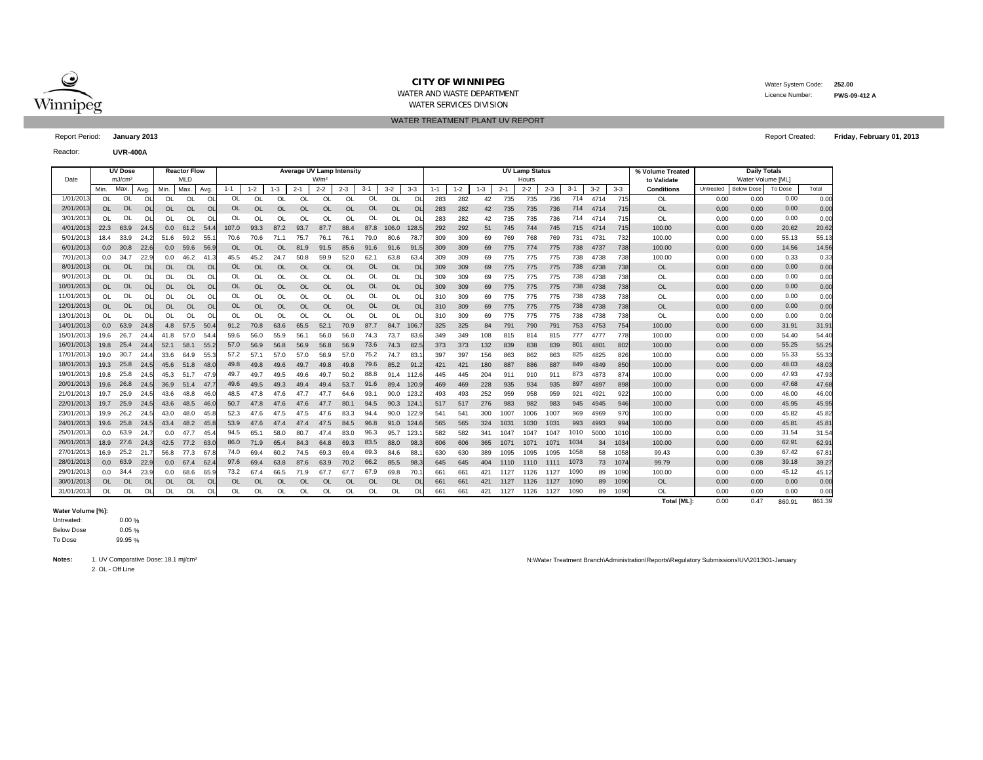

WATER AND WASTE DEPARTMENT

WATER SERVICES DIVISION WATER TREATMENT PLANT UV REPORT  Water System Code: **252.00** Licence Number:**PWS-09-412 A**

**Friday, February 01, 2013**

Report Period: **January 2013** Report Created:

Reactor:**UVR-400A**

|            |                  | <b>UV Dose</b>     |      |           | <b>Reactor Flow</b> |           | <b>Average UV Lamp Intensity</b> |           |           |                  |           |           |               |           |           |     |         |         |         | <b>UV Lamp Status</b> |         |         |         | % Volume Treated | <b>Daily Totals</b> |           |                   |                |        |
|------------|------------------|--------------------|------|-----------|---------------------|-----------|----------------------------------|-----------|-----------|------------------|-----------|-----------|---------------|-----------|-----------|-----|---------|---------|---------|-----------------------|---------|---------|---------|------------------|---------------------|-----------|-------------------|----------------|--------|
| Date       |                  | mJ/cm <sup>2</sup> |      |           | MLD                 |           |                                  |           |           | W/m <sup>2</sup> |           |           |               |           |           |     |         |         |         | Hours                 |         |         |         |                  | to Validate         |           | Water Volume [ML] |                |        |
|            | Min.             | Max.               | Avg. | Min.      | Max.                | Avg       | $1 - 1$                          | $1 - 2$   | $1 - 3$   | $2 - 1$          | $2 - 2$   | $2 - 3$   | $3 - 1$       | $3 - 2$   | $3 - 3$   |     | $1 - 2$ | $1 - 3$ | $2 - 1$ | $2 - 2$               | $2 - 3$ | $3 - 1$ | $3 - 2$ | $3 - 3$          | <b>Conditions</b>   | Untreated | <b>Below Dose</b> | <b>To Dose</b> | Total  |
| 1/01/201   | $\Omega$         | OL                 | OL   | OL        | $\Omega$            | O         | <b>OL</b>                        | $\Omega$  | <b>OL</b> | $\Omega$         | OL        | OL        | OL            | OL        | $\Omega$  | 283 | 282     | 42      | 735     | 735                   | 736     | 714     | 4714    | 715              | OL                  | 0.00      | 0.00              | 0.00           | 0.00   |
| 2/01/2013  | <b>OL</b>        | OL                 | OL   | OL        | <b>OL</b>           | OL        | <b>OL</b>                        | OL        | <b>OL</b> | <b>OL</b>        | OL        | <b>OL</b> | OL            | <b>OL</b> | <b>OL</b> | 283 | 282     | 42      | 735     | 735                   | 736     | 714     | 4714    | 715              | <b>OL</b>           | 0.00      | 0.00              | 0.00           | 0.00   |
| 3/01/2013  | $\Omega$         | OL                 | OL   | OL        | OL                  | O         | <b>OL</b>                        | $\Omega$  | <b>OL</b> | OL               | $\Omega$  | OL        | OL            | OL        | $\Omega$  | 283 | 282     | 42      | 735     | 735                   | 736     | 714     | 4714    | 715              | OL                  | 0.00      | 0.00              | 0.00           | 0.00   |
| 4/01/2013  | 22.3             | 63.9               | 24.5 | 0.0       | 61.2                | -54.      | 107.0                            | 93.3      | 87.2      | 93.7             | 87.7      | 88.4      | 87.8          | 106.0     | 128.5     | 292 | 292     | 51      | 745     | 744                   | 745     | 715     | 4714    | 715              | 100.00              | 0.00      | 0.00              | 20.62          | 20.62  |
| 5/01/2013  | 18.4             | 33.9               | 24.3 | 51.6      | 59.2                | 55.       | 70.6                             | 70.6      | 71.1      | 75.7             | 76.1      | 76.1      | 79.0          | 80.6      | 78.       | 309 | 309     | 69      | 769     | 768                   | 769     | 731     | 473'    | 732              | 100.00              | 0.00      | 0.00              | 55.13          | 55.13  |
| 6/01/201   | 0.0 <sub>0</sub> | 30.8               | 22.6 | 0.0       | 59.6                | 56.9      | <b>OL</b>                        | OL        | <b>OL</b> | 81.9             | 91.5      | 85.6      | 91.6          | 91.6      | 91.5      | 309 | 309     | 69      | 775     | 774                   | 775     | 738     | 4737    | 738              | 100.00              | 0.00      | 0.00              | 14.56          | 14.56  |
| 7/01/201   | 0.0              | 34.7               | 22.  | 0.0       | 46.2                | 41.       | 45.5                             | 45.2      | 24.7      | 50.8             | 59.9      | 52.0      | 62.7          | 63.8      | 63.       | 309 | 309     | 69      | 775     | 775                   | 775     | 738     | 4738    | 738              | 100.00              | 0.00      | 0.00              | 0.33           | 0.33   |
| 8/01/2013  | OL.              | OL                 | OL   | OL.       | OL                  | <b>OL</b> | <b>OL</b>                        | <b>OL</b> | <b>OL</b> | <b>OL</b>        | <b>OL</b> | <b>OL</b> | OL            | <b>OL</b> | <b>OL</b> | 309 | 309     | 69      | 775     | 775                   | 775     | 738     | 4738    | 738              | <b>OL</b>           | 0.00      | 0.00              | 0.00           | 0.00   |
| 9/01/2013  | OL               | OL                 | OL   | <b>OL</b> | OL                  | Ol        | OL                               | OL        | OL        | OL               | OL        | OL        | OL            | OL        | OL        | 309 | 309     | 69      | 775     | 775                   | 775     | 738     | 4738    | 738              | OL                  | 0.00      | 0.00              | 0.00           | 0.00   |
| 10/01/2013 | OL.              | <b>OL</b>          | OL   | <b>OL</b> | <b>OL</b>           | OL        | 0L                               | OL        | <b>OL</b> | <b>OL</b>        | <b>OL</b> | <b>OL</b> | <b>OL</b>     | <b>OL</b> | OL        | 309 | 309     | 69      | 775     | 775                   | 775     | 738     | 4738    | 738              | <b>OL</b>           | 0.00      | 0.00              | 0.00           | 0.00   |
| 11/01/2013 | <b>OL</b>        | OL                 | OL   | OL        | OL                  | O         | OL                               | <b>OL</b> | <b>OL</b> | OL               | OL        | OL        | <sup>OL</sup> | OL        | OL        | 310 | 309     | 69      | 775     | 775                   | 775     | 738     | 4738    | 738              | OL                  | 0.00      | 0.00              | 0.00           | 0.00   |
| 12/01/2013 | OL.              | OL                 | OL   | <b>OL</b> | <b>OL</b>           | OL        | <b>OL</b>                        | <b>OL</b> | <b>OL</b> | <b>OL</b>        | <b>OL</b> | <b>OL</b> | <b>OL</b>     | OL        | OL        | 310 | 309     | 69      | 775     | 775                   | 775     | 738     | 4738    | 738              | <b>OL</b>           | 0.00      | 0.00              | 0.00           | 0.00   |
| 13/01/2013 | OL               | OL                 | OL   | OL        | $\Omega$            | O         | OL                               | <b>OI</b> | $\Omega$  | $\Omega$         | $\Omega$  | OL.       | <b>Ol</b>     | $\Omega$  | $\Omega$  | 310 | 309     | 69      | 775     | 775                   | 775     | 738     | 4738    | 738              | OL                  | 0.00      | 0.00              | 0.00           | 0.00   |
| 14/01/2013 | 0.0 <sub>0</sub> | 63.9               | 24.8 | 4.8       | 57.5                | 50.       | 91.2                             | 70.8      | 63.6      | 65.5             | 52.1      | 70.9      | 87.7          | 84.7      | 106.7     | 325 | 325     | 84      | 791     | 790                   | 791     | 753     | 4753    | 754              | 100.00              | 0.00      | 0.00              | 31.91          | 31.91  |
| 15/01/2013 | 19.6             | 26.7               | 24.4 | 41.8      | 57.0                | 54.       | 59.6                             | 56.0      | 55.9      | 56.1             | 56.0      | 56.0      | 74.3          | 73.7      | 83.6      | 349 | 349     | 108     | 815     | 814                   | 815     | 777     | 4777    | 778              | 100.00              | 0.00      | 0.00              | 54.40          | 54.40  |
| 16/01/2013 | 19.8             | 25.4               | 24.4 | 52.1      | 58.1                | 55.2      | 57.0                             | 56.9      | 56.8      | 56.9             | 56.8      | 56.9      | 73.6          | 74.3      | 82.5      | 373 | 373     | 132     | 839     | 838                   | 839     | 801     | 480'    | 802              | 100.00              | 0.00      | 0.00              | 55.25          | 55.25  |
| 17/01/2013 | 19.0             | 30.7               | 24.4 | 33.6      | 64.9                | 55.3      | 57.2                             | 57.7      | 57.0      | 57.0             | 56.9      | 57.0      | 75.2          | 74.7      | 83.       | 397 | 397     | 156     | 863     | 862                   | 863     | 825     | 4825    | 826              | 100.00              | 0.00      | 0.00              | 55.33          | 55.33  |
| 18/01/2013 | 19.3             | 25.8               | 24.5 | 45.6      | 51.8                | 48.0      | 49.8                             | 49.8      | 49.6      | 49.7             | 49.8      | 49.8      | 79.6          | 85.2      | 91.2      | 421 | 421     | 180     | 887     | 886                   | 887     | 849     | 4849    | 850              | 100.00              | 0.00      | 0.00              | 48.03          | 48.03  |
| 19/01/2013 | 19.8             | 25.8               | 24.5 | 45.3      | 51.7                | 47.9      | 49.7                             | 49.7      | 49.5      | 49.6             | 49.7      | 50.2      | 88.8          | 91.4      | 112.6     | 445 | 445     | 204     | 911     | 910                   | 911     | 873     | 4873    | 874              | 100.00              | 0.00      | 0.00              | 47.93          | 47.93  |
| 20/01/2013 | 19.6             | 26.8               | 24.5 | 36.9      | 51.4                | 47.7      | 49.6                             | 49.5      | 49.3      | 49.4             | 49.4      | 53.7      | 91.6          | 89.4      | 120.9     | 469 | 469     | 228     | 935     | 934                   | 935     | 897     | 4897    | 898              | 100.00              | 0.00      | 0.00              | 47.68          | 47.68  |
| 21/01/2013 | 19.7             | 25.9               | 24.5 | 43.6      | 48.8                | 46.0      | 48.5                             | 47.8      | 47.6      | 47.7             | 47.7      | 64.6      | 93.           | 90.0      | 123.2     | 493 | 493     | 252     | 959     | 958                   | 959     | 921     | 4921    | 922              | 100.00              | 0.00      | 0.00              | 46.00          | 46.00  |
| 22/01/2013 | 19.7             | 25.9               | 24.5 | 43.6      | 48.5                | 46.0      | 50.7                             | 47.8      | 47.6      | 47.6             | 47.7      | 80.1      | 94.5          | 90.3      | 124.      | 517 | 517     | 276     | 983     | 982                   | 983     | 945     | 4945    | 946              | 100.00              | 0.00      | 0.00              | 45.95          | 45.95  |
| 23/01/2013 | 19.9             | 26.2               | 24.5 | 43.0      | 48.0                | 45.8      | 52.3                             | 47.6      | 47.5      | 47.5             | 47.6      | 83.3      | 94.4          | 90.0      | 122.9     | 541 | 541     | 300     | 1007    | 1006                  | 1007    | 969     | 4969    | 970              | 100.00              | 0.00      | 0.00              | 45.82          | 45.82  |
| 24/01/2013 | 19.6             | 25.8               | 24.5 | 43.4      | 48.2                | 45.8      | 53.9                             | 47.6      | 47.4      | 47.4             | 47.5      | 84.5      | 96.8          | 91.0      | 124.6     | 565 | 565     | 324     | 1031    | 1030                  | 1031    | 993     | 4993    | 994              | 100.00              | 0.00      | 0.00              | 45.81          | 45.81  |
| 25/01/2013 | 0.0              | 63.9               | 24.7 | 0.0       | 47.7                | 45.4      | 94.5                             | 65.1      | 58.0      | 80.7             | 47.4      | 83.0      | 96.3          | 95.7      | 123.      | 582 | 582     | 341     | 1047    | 1047                  | 1047    | 1010    | 5000    | 1010             | 100.00              | 0.00      | 0.00              | 31.54          | 31.54  |
| 26/01/2013 | 18.9             | 27.6               | 24.3 | 42.5      | 77.2                | 63.0      | 86.0                             | 71.9      | 65.4      | 84.3             | 64.8      | 69.3      | 83.5          | 88.0      | 98.3      | 606 | 606     | 365     | 1071    | 1071                  | 1071    | 1034    | 34      | 1034             | 100.00              | 0.00      | 0.00              | 62.91          | 62.91  |
| 27/01/201  | 16.9             | 25.2               | 21.  | 56.8      | 77.3                | 67        | 74.0                             | 69.4      | 60.2      | 74.5             | 69.3      | 69.4      | 69.3          | 84.6      | 88.       | 630 | 630     | 389     | 1095    | 1095                  | 1095    | 1058    | 58      | 1058             | 99.43               | 0.00      | 0.39              | 67.42          | 67.81  |
| 28/01/2013 | 0.0 <sub>1</sub> | 63.9               | 22.9 | 0.0       | 67.4                | 62.       | 97.6                             | 69.4      | 63.8      | 87.6             | 63.9      | 70.2      | 66.2          | 85.5      | 98.3      | 645 | 645     | 404     | 1110    | 1110                  | 1111    | 1073    | 73      | 1074             | 99.79               | 0.00      | 0.08              | 39.18          | 39.27  |
| 29/01/2013 | 0.0              | 34.4               | 23.9 | 0.0       | 68.6                | 65.9      | 73.2                             | 67.4      | 66.5      | 71.9             | 67.7      | 67.7      | 67.9          | 69.8      | 70.       | 661 | 661     | 421     | 1127    | 1126                  | 1127    | 1090    | 89      | 1090             | 100.00              | 0.00      | 0.00              | 45.12          | 45.12  |
| 30/01/2013 | OL.              | <b>OL</b>          | OL   | <b>OL</b> | <b>OL</b>           | <b>OL</b> | <b>OL</b>                        | <b>OL</b> | <b>OL</b> | OL               | OL        | OL        | OL            | <b>OL</b> | <b>OL</b> | 661 | 661     | 421     | 1127    | 1126                  | 1127    | 1090    | 89      | 1090             | <b>OL</b>           | 0.00      | 0.00              | 0.00           | 0.00   |
| 31/01/2013 | OL               | OL                 | OL   | OL        | OL                  | Ol        | OL                               | <b>OI</b> | <b>OL</b> | OL               | OL        | OL        | <b>Ol</b>     | OL        | $\Omega$  | 661 | 661     | 421     | 1127    | 1126                  | 1127    | 1090    | 89      | 1090             | OL                  | 0.00      | 0.00              | 0.00           | 0.00   |
|            |                  |                    |      |           |                     |           |                                  |           |           |                  |           |           |               |           |           |     |         |         |         |                       |         |         |         |                  | <b>Total [ML]:</b>  | 0.00      | 0.47              | 860.91         | 861.39 |

## **Water Volume [%]:**

0.00 % .<br>5 % ..<br>5 % Untreated: Below Dose To Dose

**Notes:**

2. OL - Off Line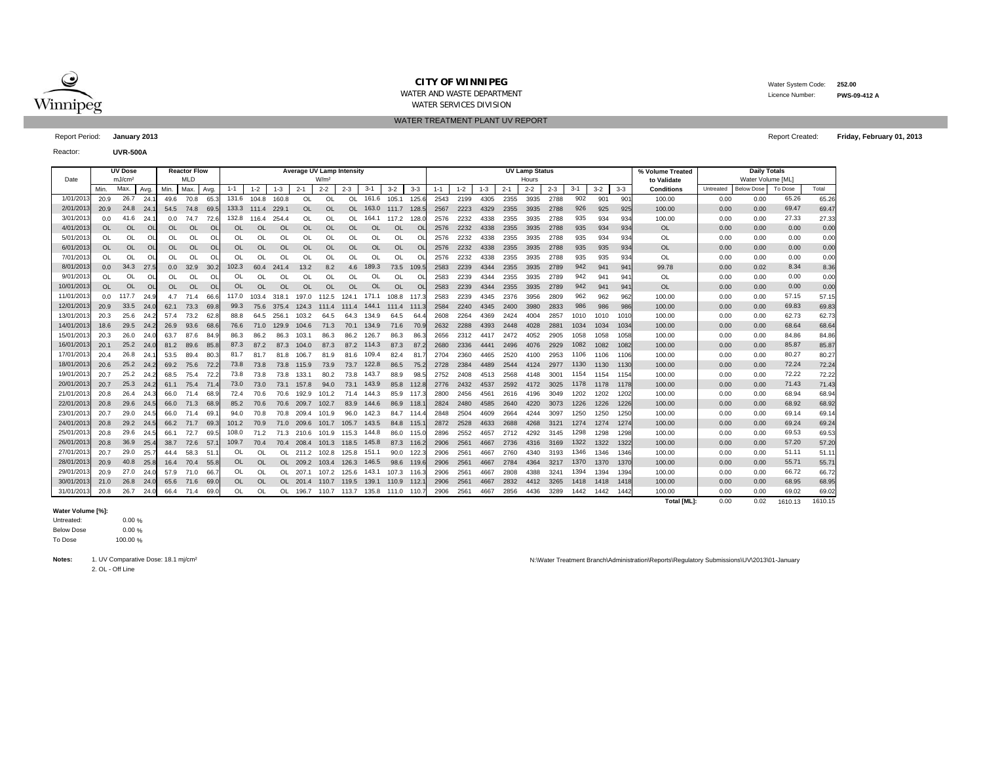

WATER AND WASTE DEPARTMENT

 Water System Code: **252.00** Licence Number:**PWS-09-412 A**

**Friday, February 01, 2013**

WATER SERVICES DIVISION WATER TREATMENT PLANT UV REPORT

Report Period: **January 2013** Report Created:

Reactor:**UVR-500A**

|            |           | <b>UV Dose</b>     |          |            | <b>Reactor Flow</b> |          | <b>Average UV Lamp Intensity</b> |           |           |           |                  |           |           |                 |                |         |         |         |         | <b>UV Lamp Status</b> |         |         |         | % Volume Treated | <b>Daily Totals</b> |           |                   |         |         |
|------------|-----------|--------------------|----------|------------|---------------------|----------|----------------------------------|-----------|-----------|-----------|------------------|-----------|-----------|-----------------|----------------|---------|---------|---------|---------|-----------------------|---------|---------|---------|------------------|---------------------|-----------|-------------------|---------|---------|
| Date       |           | mJ/cm <sup>2</sup> |          | <b>MLD</b> |                     |          |                                  |           |           |           | W/m <sup>2</sup> |           |           |                 |                |         |         |         |         | Hours                 |         |         |         |                  | to Validate         |           | Water Volume [ML] |         |         |
|            | Min.      | Max.               | Avg      | Min.       | Max.                | Avg.     | $1 - 1$                          | $1 - 2$   | $1 - 3$   | $2 - 1$   | $2 - 2$          | $2 - 3$   | $3 - 1$   | $3 - 2$         | $3 - 3$        | $1 - 1$ | $1 - 2$ | $1 - 3$ | $2 - 1$ | $2 - 2$               | $2 - 3$ | $3 - 1$ | $3 - 2$ | $3 - 3$          | <b>Conditions</b>   | Untreated | <b>Below Dose</b> | To Dose | Total   |
| 1/01/201   | 20.9      | 26.7               | 24.      | 49.6       | 70.8                | 65.      | 131.6                            | 104.8     | 160.8     | OL        | OL               | <b>OL</b> | 161.6     | 105.1           | 125.6          | 2543    | 2199    | 4305    | 2355    | 3935                  | 2788    | 902     | 901     | 901              | 100.00              | 0.00      | 0.00              | 65.26   | 65.26   |
| 2/01/201   | 20.9      | 24.8               | 24.      | 54.5       | 74.8                | 69.5     | 133.3                            | 111.4     | 229.1     | <b>OL</b> | OL               | <b>OL</b> | 163.0     | 111.7           | 128.5          | 2567    | 2223    | 4329    | 2355    | 3935                  | 2788    | 926     | 925     | 925              | 100.00              | 0.00      | 0.00              | 69.47   | 69.47   |
| 3/01/201   | 0.0       | 41.6               | 24.      | 0.0        | 74.7                | 72.1     | 132.8                            | 116.4     | 254.4     | 0L        | OL               | $\Omega$  | 164.1     | 117.2           | 128.           | 2576    | 2232    | 4338    | 2355    | 3935                  | 2788    | 935     | 934     | 934              | 100.00              | 0.00      | 0.00              | 27.33   | 27.33   |
| 4/01/201   | <b>OL</b> | <b>OL</b>          | $\Omega$ | <b>OL</b>  | <b>OL</b>           | $\Omega$ | <b>OL</b>                        | <b>OL</b> | <b>OL</b> | OL        | OL               | $\Omega$  | <b>OL</b> | <b>OL</b>       | $\Omega$       | 2576    | 2232    | 4338    | 2355    | 3935                  | 2788    | 935     | 934     | 934              | <b>OL</b>           | 0.00      | 0.00              | 0.00    | 0.00    |
| 5/01/201   | OL        | <b>OL</b>          | $\Omega$ | OL         | OL                  | $\Omega$ | OL                               | OL        | OL        | OL        | OL               | OL        | OL        | OL              |                | 2576    | 2232    | 4338    | 2355    | 3935                  | 2788    | 935     | 934     | 934              | OL                  | 0.00      | 0.00              | 0.00    | 0.00    |
| 6/01/201   | 0L        | <b>OL</b>          | $\Omega$ | OL.        | <b>OL</b>           | $\Omega$ | OL                               | <b>OL</b> | <b>OL</b> | OL        | <b>OL</b>        | $\Omega$  | OL        | <b>OL</b>       | $\Omega$       | 2576    | 2232    | 4338    | 2355    | 3935                  | 2788    | 935     | 935     | 934              | <b>OL</b>           | 0.00      | 0.00              | 0.00    | 0.00    |
| 7/01/201   | OL        | <b>OL</b>          | $\Omega$ | OL         | <b>OL</b>           | $\circ$  | OL                               | OL        | OL        | OL        | OL               | OL        | OL        | OL              |                | 2576    | 2232    | 4338    | 2355    | 3935                  | 2788    | 935     | 935     | 934              | <b>OL</b>           | 0.00      | 0.00              | 0.00    | 0.00    |
| 8/01/2013  | 0.0       | 34.3               | 27.5     | 0.0        | 32.9                | 30.2     | 102.3                            | 60.4      | 241.4     | 13.2      | 8.2              | 4.6       | 189.3     | 73.5            | 109.5          | 2583    | 2239    | 4344    | 2355    | 3935                  | 2789    | 942     | 941     | 941              | 99.78               | 0.00      | 0.02              | 8.34    | 8.36    |
| 9/01/201   | OL        | <b>OL</b>          | OL       | OL         | OL                  | OL       | OL                               | $\Omega$  | OL        | <b>OL</b> | OL               | $\Omega$  | OL        | OL              | Οl             | 2583    | 2239    | 4344    | 2355    | 3935                  | 2789    | 942     | 941     | 94 <sup>′</sup>  | <b>OL</b>           | 0.00      | 0.00              | 0.00    | 0.00    |
| 10/01/2013 | OL.       | <b>OL</b>          | OL       | OL.        | <b>OL</b>           | OL       | OL                               | OL        | OL        | OL        | <b>OL</b>        | $\Omega$  | <b>OL</b> | <b>OL</b>       | O <sub>l</sub> | 2583    | 2239    | 4344    | 2355    | 3935                  | 2789    | 942     | 941     | 941              | <b>OL</b>           | 0.00      | 0.00              | 0.00    | 0.00    |
| 11/01/201  | 0.0       | 117.7              | 24.9     | 4.7        | 71.4                | 66.6     | 117.0                            | 103.4     | 318.1     | 197.0     | 112.5            | 124.1     | 171.1     | 108.8           | 117.3          | 2583    | 2239    | 4345    | 2376    | 3956                  | 2809    | 962     | 962     | 962              | 100.00              | 0.00      | 0.00              | 57.15   | 57.15   |
| 12/01/201  | 20.9      | 33.5               | 24.0     | 62.1       | 73.3                | 69.      | 99.3                             | 75.6      | 375.4     | 124.3     | 111.4            | 111.4     | 144.1     | $111.4$ $111.3$ |                | 2584    | 2240    | 4345    | 2400    | 3980                  | 2833    | 986     | 986     | 986              | 100.00              | 0.00      | 0.00              | 69.83   | 69.83   |
| 13/01/201  | 20.3      | 25.6               | 24.2     | 57.4       | 73.2                | 62.      | 88.8                             | 64.5      | 256.1     | 103.2     | 64.5             | 64.3      | 134.9     | 64.5            | 64             | 2608    | 2264    | 4369    | 2424    | 4004                  | 2857    | 1010    | 1010    | 1010             | 100.00              | 0.00      | 0.00              | 62.73   | 62.73   |
| 14/01/201  | 18.6      | 29.5               | 24.2     | 26.9       | 93.6                | 68.      | 76.6                             | 71.0      | 129.9     | 104.6     | 71.3             | 70.1      | 134.9     | 71.6            | 70.            | 2632    | 2288    | 4393    | 2448    | 4028                  | 2881    | 1034    | 1034    | 1034             | 100.00              | 0.00      | 0.00              | 68.64   | 68.64   |
| 15/01/201  | 20.3      | 26.0               | 24.0     | 63.7       | 87.6                | 84.      | 86.3                             | 86.2      | 86.3      | 103.      | 86.3             | 86.2      | 126.7     | 86.3            | 86.            | 2656    | 2312    | 4417    | 2472    | 4052                  | 2905    | 1058    | 1058    | 1058             | 100.00              | 0.00      | 0.00              | 84.86   | 84.86   |
| 16/01/201  | 20.1      | 25.2               | 24.0     | 81.2       | 89.6                | 85.8     | 87.3                             | 87.2      | 87.3      | 104.0     | 87.3             | 87.2      | 114.3     | 87.3            | 87.2           | 2680    | 2336    | 4441    | 2496    | 4076                  | 2929    | 1082    | 1082    | 1082             | 100.00              | 0.00      | 0.00              | 85.87   | 85.87   |
| 17/01/201  | 20.4      | 26.8               | 24.      | 53.5       | 89.4                | 80.      | 81.7                             | 81.7      | 81.8      | 106.7     | 81.9             | 81.6      | 109.4     | 82.4            | 81             | 2704    | 2360    | 4465    | 2520    | 4100                  | 2953    | 1106    | 1106    | 1106             | 100.00              | 0.00      | 0.00              | 80.27   | 80.27   |
| 18/01/201  | 20.6      | 25.2               | 24.2     | 69.2       | 75.6 72.            |          | 73.8                             | 73.8      | 73.8      | 115.9     | 73.9             | 73.7      | 122.8     | 86.5            | 75.            | 2728    | 2384    | 4489    | 2544    | 4124                  | 2977    | 1130    | 1130    | 1130             | 100.00              | 0.00      | 0.00              | 72.24   | 72.24   |
| 19/01/201  | 20.7      | 25.2               | 24.2     | 68.5       | 75.4                | 72       | 73.8                             | 73.8      | 73.8      | 133.1     | 80.2             | 73.8      | 143.7     | 88.9            | 98.            | 2752    | 2408    | 4513    | 2568    | 4148                  | 3001    | 1154    | 1154    | 1154             | 100.00              | 0.00      | 0.00              | 72.22   | 72.22   |
| 20/01/201  | 20.7      | 25.3               | 24.2     |            | 61.1 75.4           | 71.      | 73.0                             | 73.0      | 73.1      | 157.8     | 94.0             | 73.1      | 143.9     |                 | 85.8 112.      | 2776    | 2432    | 4537    | 2592    | 4172                  | 3025    | 1178    | 1178    | 1178             | 100.00              | 0.00      | 0.00              | 71.43   | 71.43   |
| 21/01/201  | 20.8      | 26.4               | 24.3     | 66.0       | 71.4                | 68.      | 72.4                             | 70.6      | 70.6      | 192.9     | 101.2            | 71.4      | 144.3     | 85.9            | 117            | 2800    | 2456    | 4561    | 2616    | 4196                  | 3049    | 1202    | 1202    | 1202             | 100.00              | 0.00      | 0.00              | 68.94   | 68.94   |
| 22/01/201  | 20.8      | 29.6               | 24.5     | 66.0       | 71.3                | 68.      | 85.2                             | 70.6      | 70.6      | 209.7     | 102.7            | 83.9      | 144.6     | 86.9            | 118.           | 2824    | 2480    | 4585    | 2640    | 4220                  | 3073    | 1226    | 1226    | 1226             | 100.00              | 0.00      | 0.00              | 68.92   | 68.92   |
| 23/01/201  | 20.7      | 29.0               | 24.5     | 66.0       | 71.4                | 69.      | 94.0                             | 70.8      | 70.8      | 209.4     | 101.9            | 96.0      | 142.3     |                 | 84.7 114.      | 2848    | 2504    | 4609    | 2664    | 4244                  | 3097    | 1250    | 1250    | 1250             | 100.00              | 0.00      | 0.00              | 69.14   | 69.14   |
| 24/01/201  | 20.8      | 29.2               | 24.5     | 66.2       | 71.7                | 69.      | 101.2                            | 70.9      | 71.0      | 209.6     | 101.7            | 105.7     | 143.5     | 84.8 115.       |                | 2872    | 2528    | 4633    | 2688    | 4268                  | 3121    | 1274    | 1274    | 1274             | 100.00              | 0.00      | 0.00              | 69.24   | 69.24   |
| 25/01/201  | 20.8      | 29.6               | 24.5     | 66.1       | 72.7                | 69.      | 108.0                            | 71.2      | 71.3      | 210.6     | 101.9            | 115.3     | 144.8     | 86.0            | 115.           | 2896    | 2552    | 4657    | 2712    | 4292                  | 3145    | 1298    | 1298    | 1298             | 100.00              | 0.00      | 0.00              | 69.53   | 69.53   |
| 26/01/201  | 20.8      | 36.9               | 25.4     | 38.7       | 72.6                | 57.      | 109.7                            | 70.4      | 70.4      | 208.4     | 101.3            | 118.5     | 145.8     |                 | 87.3 116.2     | 2906    | 2561    | 4667    | 2736    | 4316                  | 3169    | 1322    | 1322    | 1322             | 100.00              | 0.00      | 0.00              | 57.20   | 57.20   |
| 27/01/201  | 20.7      | 29.0               | 25.      | 44.4       | 58.3                | 51       | OL                               | $\Omega$  | OL.       | 211.2     | 102.8            | 125.8     | 151.1     | 90.0            | 122.           | 2906    | 2561    | 4667    | 2760    | 4340                  | 3193    | 1346    | 1346    | 1346             | 100.00              | 0.00      | 0.00              | 51.11   | 51.11   |
| 28/01/201  | 20.9      | 40.8               | 25.8     | 16.4       | 70.4                | 55.      | <b>OL</b>                        | $\Omega$  | OL.       | 209.2     | 103.4            | 126.3     | 146.5     |                 | 98.6 119.6     | 2906    | 2561    | 4667    | 2784    | 4364                  | 3217    | 1370    | 1370    | 1370             | 100.00              | 0.00      | 0.00              | 55.71   | 55.71   |
| 29/01/201  | 20.9      | 27.0               | 24.0     | 57.9       | 71.0                | 66.      | OL                               | $\Omega$  | OL.       | 207.1     | 107.2            | 125.6     | 143.1     | 107.3           | 116.           | 2906    | 2561    | 4667    | 2808    | 4388                  | 3241    | 1394    | 1394    | 1394             | 100.00              | 0.00      | 0.00              | 66.72   | 66.72   |
| 30/01/2013 | 21.0      | 26.8               | 24.0     | 65.6       | 71.6                | 69.      | <b>OL</b>                        | <b>OL</b> | OL.       | 201.4     | 110.7            | 119.5     | 139.1     | 110.9           | $-112.$        | 2906    | 2561    | 4667    | 2832    | 4412                  | 3265    | 1418    | 1418    | 1418             | 100.00              | 0.00      | 0.00              | 68.95   | 68.95   |
| 31/01/201  | 20.8      | 26.7               | 24.0     | 66.4       | 71.4                | 69.      | $\Omega$                         | $\Omega$  | OL.       | 196.7     | 110.7            | 113.7     | 135.8     | 111.0           | 110.           | 2906    | 2561    | 4667    | 2856    | 4436                  | 3289    | 1442    | 1442    | 1442             | 100.00              | 0.00      | 0.00              | 69.02   | 69.02   |
|            |           |                    |          |            |                     |          |                                  |           |           |           |                  |           |           |                 |                |         |         |         |         |                       |         |         |         |                  | <b>Total [ML]:</b>  | 0.00      | 0.02              | 1610.13 | 1610.15 |

## **Water Volume [%]:**

0.00 %  $0<sub>%</sub>$  $0\frac{1}{6}$ Untreated: Below Dose To Dose

**Notes:**2. OL - Off Line